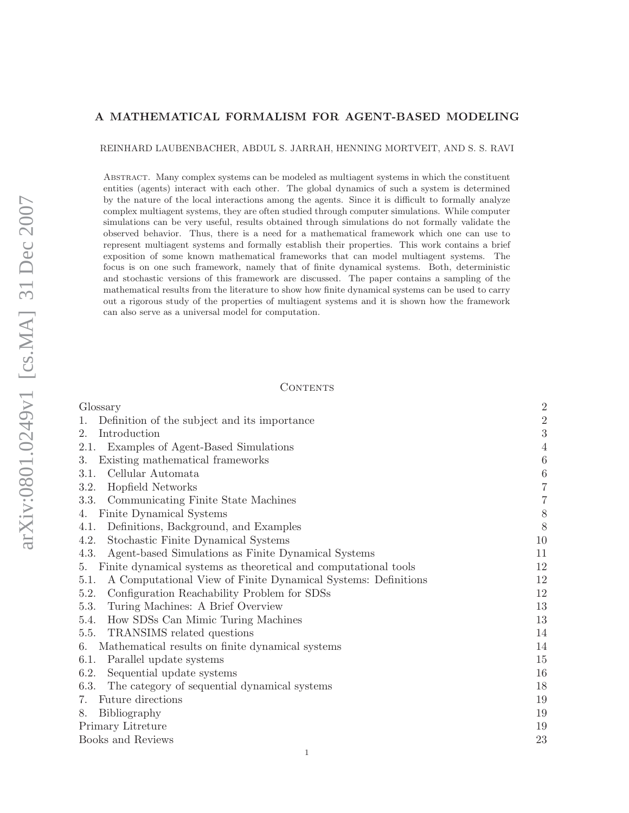## **A MATHEMATICAL FORMALISM FOR AGENT-BASED MODELING**

REINHARD LAUBENBACHER, ABDUL S. JARRAH, HENNING MORTVEIT, AND S. S. RAVI

Abstract. Many complex systems can be modeled as multiagent systems in which the constituent entities (agents) interact with each other. The global dynamics of such a system is determined by the nature of the local interactions among the agents. Since it is difficult to formally analyze complex multiagent systems, they are often studied through computer simulations. While computer simulations can be very useful, results obtained through simulations do not formally validate the observed behavior. Thus, there is a need for a mathematical framework which one can use to represent multiagent systems and formally establish their properties. This work contains a brief exposition of some known mathematical frameworks that can model multiagent systems. The focus is on one such framework, namely that of finite dynamical systems. Both, deterministic and stochastic versions of this framework are discussed. The paper contains a sampling of the mathematical results from the literature to show how finite dynamical systems can be used to carry out a rigorous study of the properties of multiagent systems and it is shown how the framework can also serve as a universal model for computation.

### CONTENTS

| Glossary                                                                          | $\overline{2}$   |
|-----------------------------------------------------------------------------------|------------------|
| Definition of the subject and its importance<br>1.                                | $\overline{2}$   |
| Introduction<br>2.                                                                | 3                |
| Examples of Agent-Based Simulations<br>2.1.                                       | $\overline{4}$   |
| Existing mathematical frameworks<br>3.                                            | $\,$ 6 $\,$      |
| Cellular Automata<br>3.1.                                                         | $\boldsymbol{6}$ |
| Hopfield Networks<br>3.2.                                                         | $\overline{7}$   |
| Communicating Finite State Machines<br>3.3.                                       | $\overline{7}$   |
| Finite Dynamical Systems<br>4.                                                    | 8                |
| Definitions, Background, and Examples<br>4.1.                                     | 8                |
| Stochastic Finite Dynamical Systems<br>4.2.                                       | 10               |
| Agent-based Simulations as Finite Dynamical Systems<br>4.3.                       | 11               |
| Finite dynamical systems as theoretical and computational tools<br>5 <sub>1</sub> | 12               |
| A Computational View of Finite Dynamical Systems: Definitions<br>5.1.             | 12               |
| 5.2.<br>Configuration Reachability Problem for SDSs                               | 12               |
| Turing Machines: A Brief Overview<br>5.3.                                         | 13               |
| How SDSs Can Mimic Turing Machines<br>5.4.                                        | 13               |
| TRANSIMS related questions<br>5.5.                                                | 14               |
| Mathematical results on finite dynamical systems<br>6.                            | 14               |
| Parallel update systems<br>6.1.                                                   | 15               |
| 6.2.<br>Sequential update systems                                                 | 16               |
| 6.3.<br>The category of sequential dynamical systems                              | 18               |
| Future directions<br>7.                                                           | 19               |
| Bibliography<br>8.                                                                | 19               |
| Primary Litreture                                                                 | 19               |
| Books and Reviews                                                                 | 23               |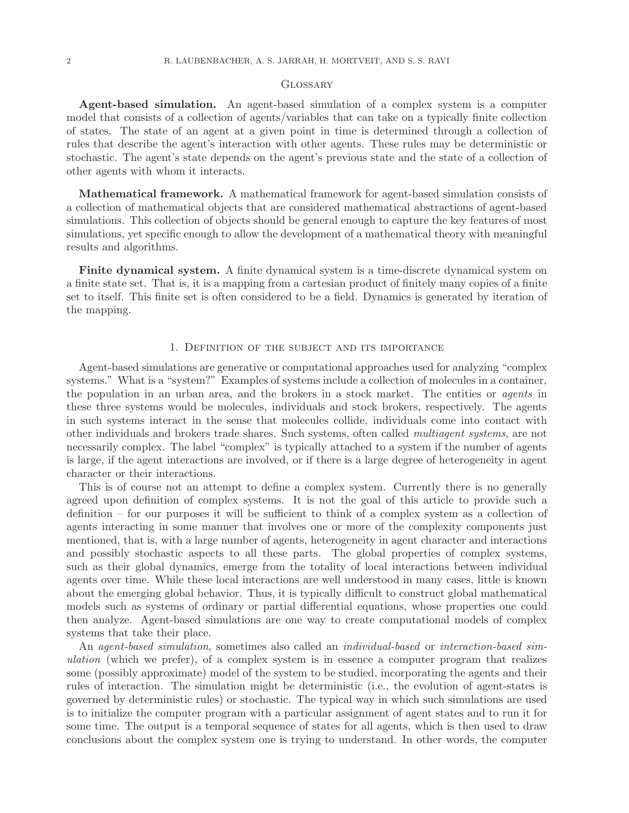### **GLOSSARY**

**Agent-based simulation.** An agent-based simulation of a complex system is a computer model that consists of a collection of agents/variables that can take on a typically finite collection of states. The state of an agent at a given point in time is determined through a collection of rules that describe the agent's interaction with other agents. These rules may be deterministic or stochastic. The agent's state depends on the agent's previous state and the state of a collection of other agents with whom it interacts.

**Mathematical framework.** A mathematical framework for agent-based simulation consists of a collection of mathematical objects that are considered mathematical abstractions of agent-based simulations. This collection of objects should be general enough to capture the key features of most simulations, yet specific enough to allow the development of a mathematical theory with meaningful results and algorithms.

**Finite dynamical system.** A finite dynamical system is a time-discrete dynamical system on a finite state set. That is, it is a mapping from a cartesian product of finitely many copies of a finite set to itself. This finite set is often considered to be a field. Dynamics is generated by iteration of the mapping.

## 1. Definition of the subject and its importance

Agent-based simulations are generative or computational approaches used for analyzing "complex systems." What is a "system?" Examples of systems include a collection of molecules in a container, the population in an urban area, and the brokers in a stock market. The entities or agents in these three systems would be molecules, individuals and stock brokers, respectively. The agents in such systems interact in the sense that molecules collide, individuals come into contact with other individuals and brokers trade shares. Such systems, often called multiagent systems, are not necessarily complex. The label "complex" is typically attached to a system if the number of agents is large, if the agent interactions are involved, or if there is a large degree of heterogeneity in agent character or their interactions.

This is of course not an attempt to define a complex system. Currently there is no generally agreed upon definition of complex systems. It is not the goal of this article to provide such a definition – for our purposes it will be sufficient to think of a complex system as a collection of agents interacting in some manner that involves one or more of the complexity components just mentioned, that is, with a large number of agents, heterogeneity in agent character and interactions and possibly stochastic aspects to all these parts. The global properties of complex systems, such as their global dynamics, emerge from the totality of local interactions between individual agents over time. While these local interactions are well understood in many cases, little is known about the emerging global behavior. Thus, it is typically difficult to construct global mathematical models such as systems of ordinary or partial differential equations, whose properties one could then analyze. Agent-based simulations are one way to create computational models of complex systems that take their place.

An agent-based simulation, sometimes also called an *individual-based* or *interaction-based sim*ulation (which we prefer), of a complex system is in essence a computer program that realizes some (possibly approximate) model of the system to be studied, incorporating the agents and their rules of interaction. The simulation might be deterministic (i.e., the evolution of agent-states is governed by deterministic rules) or stochastic. The typical way in which such simulations are used is to initialize the computer program with a particular assignment of agent states and to run it for some time. The output is a temporal sequence of states for all agents, which is then used to draw conclusions about the complex system one is trying to understand. In other words, the computer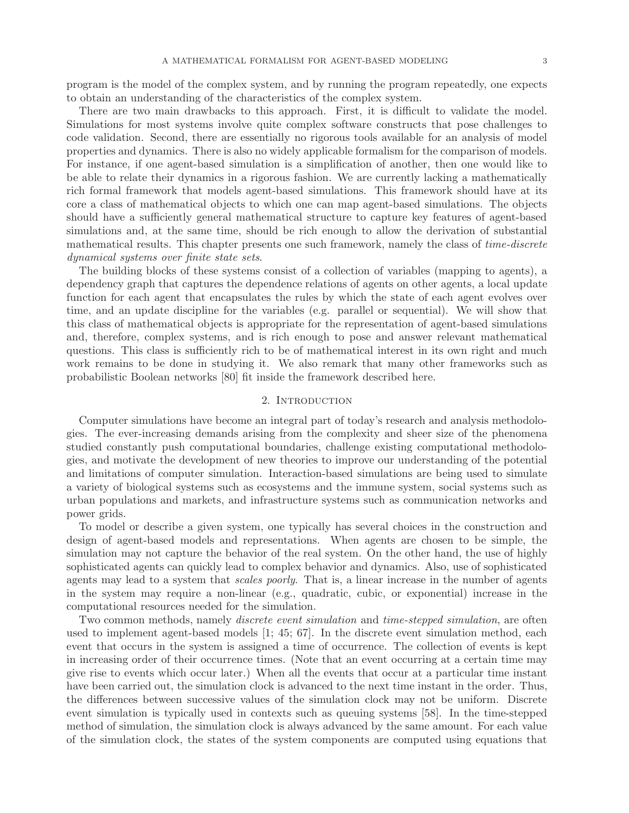program is the model of the complex system, and by running the program repeatedly, one expects to obtain an understanding of the characteristics of the complex system.

There are two main drawbacks to this approach. First, it is difficult to validate the model. Simulations for most systems involve quite complex software constructs that pose challenges to code validation. Second, there are essentially no rigorous tools available for an analysis of model properties and dynamics. There is also no widely applicable formalism for the comparison of models. For instance, if one agent-based simulation is a simplification of another, then one would like to be able to relate their dynamics in a rigorous fashion. We are currently lacking a mathematically rich formal framework that models agent-based simulations. This framework should have at its core a class of mathematical objects to which one can map agent-based simulations. The objects should have a sufficiently general mathematical structure to capture key features of agent-based simulations and, at the same time, should be rich enough to allow the derivation of substantial mathematical results. This chapter presents one such framework, namely the class of *time-discrete* dynamical systems over finite state sets.

The building blocks of these systems consist of a collection of variables (mapping to agents), a dependency graph that captures the dependence relations of agents on other agents, a local update function for each agent that encapsulates the rules by which the state of each agent evolves over time, and an update discipline for the variables (e.g. parallel or sequential). We will show that this class of mathematical objects is appropriate for the representation of agent-based simulations and, therefore, complex systems, and is rich enough to pose and answer relevant mathematical questions. This class is sufficiently rich to be of mathematical interest in its own right and much work remains to be done in studying it. We also remark that many other frameworks such as probabilistic Boolean networks [80] fit inside the framework described here.

# 2. Introduction

Computer simulations have become an integral part of today's research and analysis methodologies. The ever-increasing demands arising from the complexity and sheer size of the phenomena studied constantly push computational boundaries, challenge existing computational methodologies, and motivate the development of new theories to improve our understanding of the potential and limitations of computer simulation. Interaction-based simulations are being used to simulate a variety of biological systems such as ecosystems and the immune system, social systems such as urban populations and markets, and infrastructure systems such as communication networks and power grids.

To model or describe a given system, one typically has several choices in the construction and design of agent-based models and representations. When agents are chosen to be simple, the simulation may not capture the behavior of the real system. On the other hand, the use of highly sophisticated agents can quickly lead to complex behavior and dynamics. Also, use of sophisticated agents may lead to a system that *scales poorly*. That is, a linear increase in the number of agents in the system may require a non-linear (e.g., quadratic, cubic, or exponential) increase in the computational resources needed for the simulation.

Two common methods, namely *discrete event simulation* and *time-stepped simulation*, are often used to implement agent-based models [1; 45; 67]. In the discrete event simulation method, each event that occurs in the system is assigned a time of occurrence. The collection of events is kept in increasing order of their occurrence times. (Note that an event occurring at a certain time may give rise to events which occur later.) When all the events that occur at a particular time instant have been carried out, the simulation clock is advanced to the next time instant in the order. Thus, the differences between successive values of the simulation clock may not be uniform. Discrete event simulation is typically used in contexts such as queuing systems [58]. In the time-stepped method of simulation, the simulation clock is always advanced by the same amount. For each value of the simulation clock, the states of the system components are computed using equations that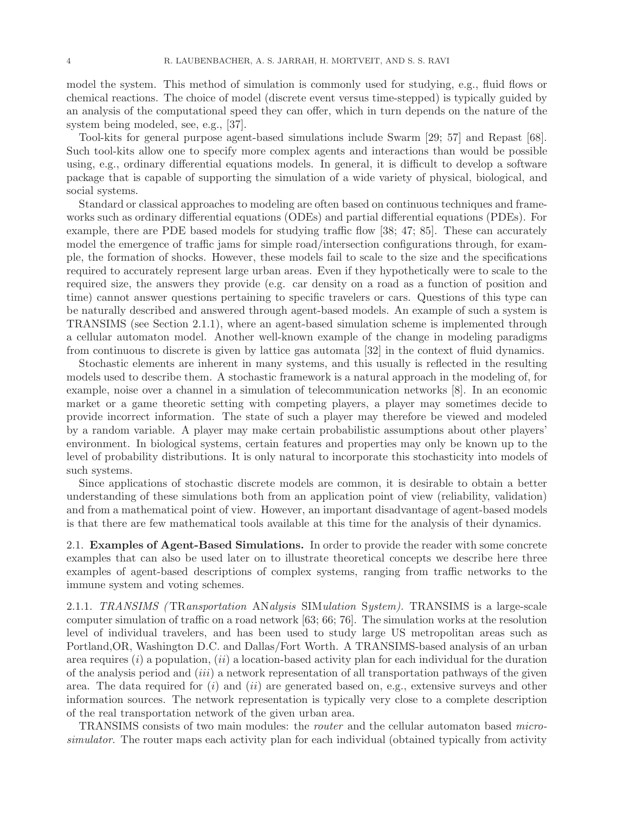model the system. This method of simulation is commonly used for studying, e.g., fluid flows or chemical reactions. The choice of model (discrete event versus time-stepped) is typically guided by an analysis of the computational speed they can offer, which in turn depends on the nature of the system being modeled, see, e.g., [37].

Tool-kits for general purpose agent-based simulations include Swarm [29; 57] and Repast [68]. Such tool-kits allow one to specify more complex agents and interactions than would be possible using, e.g., ordinary differential equations models. In general, it is difficult to develop a software package that is capable of supporting the simulation of a wide variety of physical, biological, and social systems.

Standard or classical approaches to modeling are often based on continuous techniques and frameworks such as ordinary differential equations (ODEs) and partial differential equations (PDEs). For example, there are PDE based models for studying traffic flow [38; 47; 85]. These can accurately model the emergence of traffic jams for simple road/intersection configurations through, for example, the formation of shocks. However, these models fail to scale to the size and the specifications required to accurately represent large urban areas. Even if they hypothetically were to scale to the required size, the answers they provide (e.g. car density on a road as a function of position and time) cannot answer questions pertaining to specific travelers or cars. Questions of this type can be naturally described and answered through agent-based models. An example of such a system is TRANSIMS (see Section 2.1.1), where an agent-based simulation scheme is implemented through a cellular automaton model. Another well-known example of the change in modeling paradigms from continuous to discrete is given by lattice gas automata [32] in the context of fluid dynamics.

Stochastic elements are inherent in many systems, and this usually is reflected in the resulting models used to describe them. A stochastic framework is a natural approach in the modeling of, for example, noise over a channel in a simulation of telecommunication networks [8]. In an economic market or a game theoretic setting with competing players, a player may sometimes decide to provide incorrect information. The state of such a player may therefore be viewed and modeled by a random variable. A player may make certain probabilistic assumptions about other players' environment. In biological systems, certain features and properties may only be known up to the level of probability distributions. It is only natural to incorporate this stochasticity into models of such systems.

Since applications of stochastic discrete models are common, it is desirable to obtain a better understanding of these simulations both from an application point of view (reliability, validation) and from a mathematical point of view. However, an important disadvantage of agent-based models is that there are few mathematical tools available at this time for the analysis of their dynamics.

2.1. **Examples of Agent-Based Simulations.** In order to provide the reader with some concrete examples that can also be used later on to illustrate theoretical concepts we describe here three examples of agent-based descriptions of complex systems, ranging from traffic networks to the immune system and voting schemes.

2.1.1. TRANSIMS (TRansportation ANalysis SIMulation System). TRANSIMS is a large-scale computer simulation of traffic on a road network [63; 66; 76]. The simulation works at the resolution level of individual travelers, and has been used to study large US metropolitan areas such as Portland,OR, Washington D.C. and Dallas/Fort Worth. A TRANSIMS-based analysis of an urban area requires  $(i)$  a population,  $(ii)$  a location-based activity plan for each individual for the duration of the analysis period and (iii) a network representation of all transportation pathways of the given area. The data required for  $(i)$  and  $(ii)$  are generated based on, e.g., extensive surveys and other information sources. The network representation is typically very close to a complete description of the real transportation network of the given urban area.

TRANSIMS consists of two main modules: the router and the cellular automaton based microsimulator. The router maps each activity plan for each individual (obtained typically from activity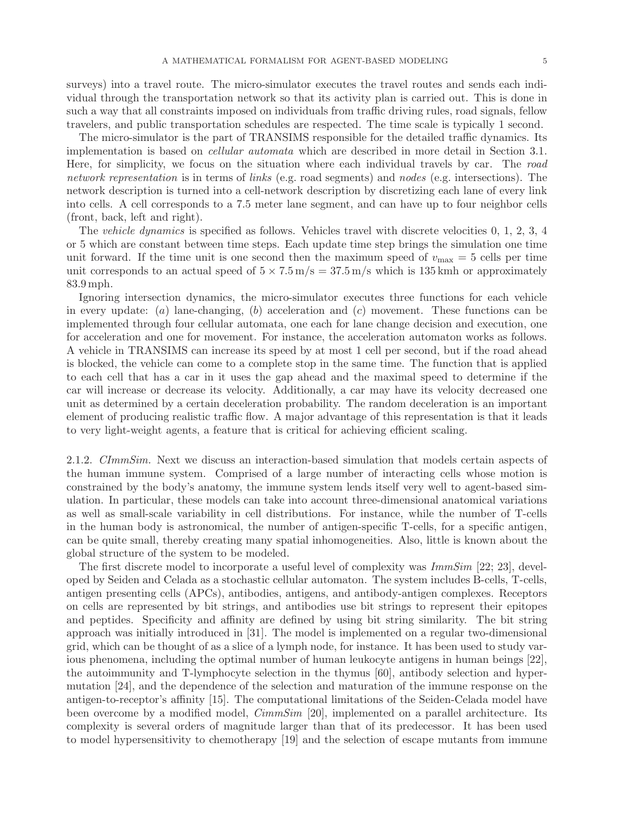surveys) into a travel route. The micro-simulator executes the travel routes and sends each individual through the transportation network so that its activity plan is carried out. This is done in such a way that all constraints imposed on individuals from traffic driving rules, road signals, fellow travelers, and public transportation schedules are respected. The time scale is typically 1 second.

The micro-simulator is the part of TRANSIMS responsible for the detailed traffic dynamics. Its implementation is based on cellular automata which are described in more detail in Section 3.1. Here, for simplicity, we focus on the situation where each individual travels by car. The road network representation is in terms of links (e.g. road segments) and nodes (e.g. intersections). The network description is turned into a cell-network description by discretizing each lane of every link into cells. A cell corresponds to a 7.5 meter lane segment, and can have up to four neighbor cells (front, back, left and right).

The vehicle dynamics is specified as follows. Vehicles travel with discrete velocities 0, 1, 2, 3, 4 or 5 which are constant between time steps. Each update time step brings the simulation one time unit forward. If the time unit is one second then the maximum speed of  $v_{\text{max}} = 5$  cells per time unit corresponds to an actual speed of  $5 \times 7.5 \,\mathrm{m/s} = 37.5 \,\mathrm{m/s}$  which is 135 kmh or approximately 83.9 mph.

Ignoring intersection dynamics, the micro-simulator executes three functions for each vehicle in every update: (a) lane-changing, (b) acceleration and (c) movement. These functions can be implemented through four cellular automata, one each for lane change decision and execution, one for acceleration and one for movement. For instance, the acceleration automaton works as follows. A vehicle in TRANSIMS can increase its speed by at most 1 cell per second, but if the road ahead is blocked, the vehicle can come to a complete stop in the same time. The function that is applied to each cell that has a car in it uses the gap ahead and the maximal speed to determine if the car will increase or decrease its velocity. Additionally, a car may have its velocity decreased one unit as determined by a certain deceleration probability. The random deceleration is an important element of producing realistic traffic flow. A major advantage of this representation is that it leads to very light-weight agents, a feature that is critical for achieving efficient scaling.

2.1.2. *CImmSim.* Next we discuss an interaction-based simulation that models certain aspects of the human immune system. Comprised of a large number of interacting cells whose motion is constrained by the body's anatomy, the immune system lends itself very well to agent-based simulation. In particular, these models can take into account three-dimensional anatomical variations as well as small-scale variability in cell distributions. For instance, while the number of T-cells in the human body is astronomical, the number of antigen-specific T-cells, for a specific antigen, can be quite small, thereby creating many spatial inhomogeneities. Also, little is known about the global structure of the system to be modeled.

The first discrete model to incorporate a useful level of complexity was  $ImmSim$  [22; 23], developed by Seiden and Celada as a stochastic cellular automaton. The system includes B-cells, T-cells, antigen presenting cells (APCs), antibodies, antigens, and antibody-antigen complexes. Receptors on cells are represented by bit strings, and antibodies use bit strings to represent their epitopes and peptides. Specificity and affinity are defined by using bit string similarity. The bit string approach was initially introduced in [31]. The model is implemented on a regular two-dimensional grid, which can be thought of as a slice of a lymph node, for instance. It has been used to study various phenomena, including the optimal number of human leukocyte antigens in human beings [22], the autoimmunity and T-lymphocyte selection in the thymus [60], antibody selection and hypermutation [24], and the dependence of the selection and maturation of the immune response on the antigen-to-receptor's affinity [15]. The computational limitations of the Seiden-Celada model have been overcome by a modified model, *CimmSim* [20], implemented on a parallel architecture. Its complexity is several orders of magnitude larger than that of its predecessor. It has been used to model hypersensitivity to chemotherapy [19] and the selection of escape mutants from immune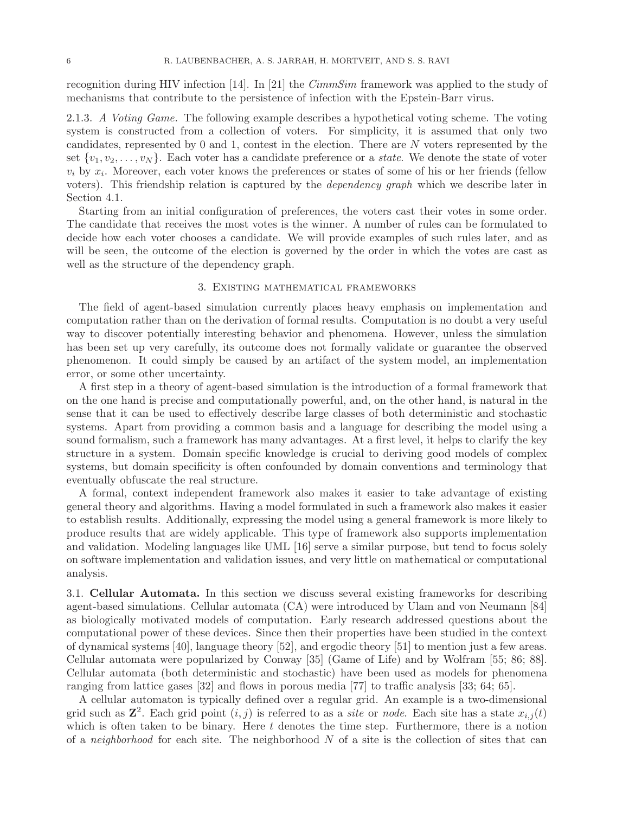recognition during HIV infection [14]. In [21] the CimmSim framework was applied to the study of mechanisms that contribute to the persistence of infection with the Epstein-Barr virus.

2.1.3. A Voting Game. The following example describes a hypothetical voting scheme. The voting system is constructed from a collection of voters. For simplicity, it is assumed that only two candidates, represented by 0 and 1, contest in the election. There are N voters represented by the set  $\{v_1, v_2, \ldots, v_N\}$ . Each voter has a candidate preference or a *state*. We denote the state of voter  $v_i$  by  $x_i$ . Moreover, each voter knows the preferences or states of some of his or her friends (fellow voters). This friendship relation is captured by the dependency graph which we describe later in Section 4.1.

Starting from an initial configuration of preferences, the voters cast their votes in some order. The candidate that receives the most votes is the winner. A number of rules can be formulated to decide how each voter chooses a candidate. We will provide examples of such rules later, and as will be seen, the outcome of the election is governed by the order in which the votes are cast as well as the structure of the dependency graph.

# 3. Existing mathematical frameworks

The field of agent-based simulation currently places heavy emphasis on implementation and computation rather than on the derivation of formal results. Computation is no doubt a very useful way to discover potentially interesting behavior and phenomena. However, unless the simulation has been set up very carefully, its outcome does not formally validate or guarantee the observed phenomenon. It could simply be caused by an artifact of the system model, an implementation error, or some other uncertainty.

A first step in a theory of agent-based simulation is the introduction of a formal framework that on the one hand is precise and computationally powerful, and, on the other hand, is natural in the sense that it can be used to effectively describe large classes of both deterministic and stochastic systems. Apart from providing a common basis and a language for describing the model using a sound formalism, such a framework has many advantages. At a first level, it helps to clarify the key structure in a system. Domain specific knowledge is crucial to deriving good models of complex systems, but domain specificity is often confounded by domain conventions and terminology that eventually obfuscate the real structure.

A formal, context independent framework also makes it easier to take advantage of existing general theory and algorithms. Having a model formulated in such a framework also makes it easier to establish results. Additionally, expressing the model using a general framework is more likely to produce results that are widely applicable. This type of framework also supports implementation and validation. Modeling languages like UML [16] serve a similar purpose, but tend to focus solely on software implementation and validation issues, and very little on mathematical or computational analysis.

3.1. **Cellular Automata.** In this section we discuss several existing frameworks for describing agent-based simulations. Cellular automata (CA) were introduced by Ulam and von Neumann [84] as biologically motivated models of computation. Early research addressed questions about the computational power of these devices. Since then their properties have been studied in the context of dynamical systems [40], language theory [52], and ergodic theory [51] to mention just a few areas. Cellular automata were popularized by Conway [35] (Game of Life) and by Wolfram [55; 86; 88]. Cellular automata (both deterministic and stochastic) have been used as models for phenomena ranging from lattice gases [32] and flows in porous media [77] to traffic analysis [33; 64; 65].

A cellular automaton is typically defined over a regular grid. An example is a two-dimensional grid such as  $\mathbb{Z}^2$ . Each grid point  $(i, j)$  is referred to as a *site* or *node*. Each site has a state  $x_{i,j}(t)$ which is often taken to be binary. Here  $t$  denotes the time step. Furthermore, there is a notion of a neighborhood for each site. The neighborhood N of a site is the collection of sites that can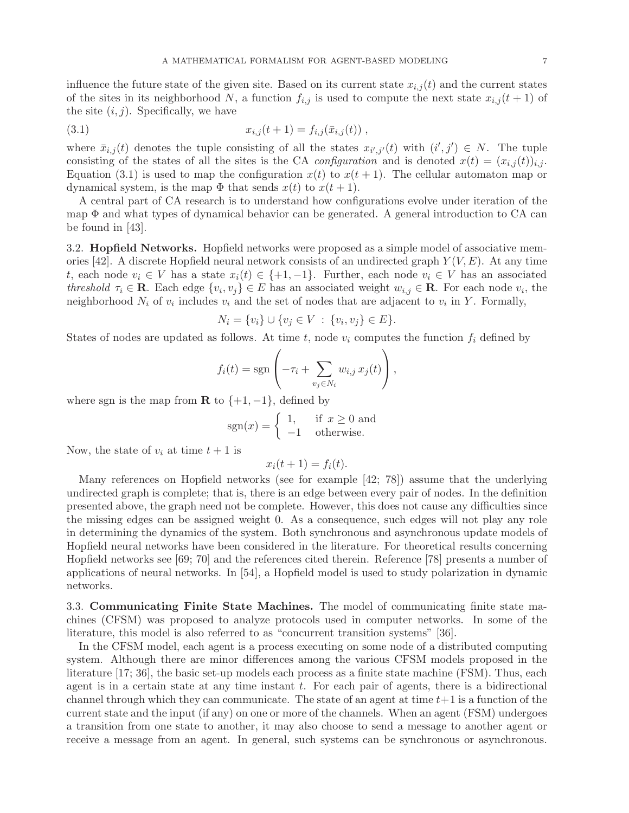influence the future state of the given site. Based on its current state  $x_{i,j}(t)$  and the current states of the sites in its neighborhood N, a function  $f_{i,j}$  is used to compute the next state  $x_{i,j}(t+1)$  of the site  $(i, j)$ . Specifically, we have

(3.1) 
$$
x_{i,j}(t+1) = f_{i,j}(\bar{x}_{i,j}(t)),
$$

where  $\bar{x}_{i,j}(t)$  denotes the tuple consisting of all the states  $x_{i',j'}(t)$  with  $(i',j') \in N$ . The tuple consisting of the states of all the sites is the CA *configuration* and is denoted  $x(t)=(x_{i,j}(t))_{i,j}$ . Equation (3.1) is used to map the configuration  $x(t)$  to  $x(t + 1)$ . The cellular automaton map or dynamical system, is the map  $\Phi$  that sends  $x(t)$  to  $x(t+1)$ .

A central part of CA research is to understand how configurations evolve under iteration of the map  $\Phi$  and what types of dynamical behavior can be generated. A general introduction to CA can be found in [43].

3.2. **Hopfield Networks.** Hopfield networks were proposed as a simple model of associative memories [42]. A discrete Hopfield neural network consists of an undirected graph  $Y(V,E)$ . At any time t, each node  $v_i \in V$  has a state  $x_i(t) \in \{+1, -1\}$ . Further, each node  $v_i \in V$  has an associated threshold  $\tau_i \in \mathbf{R}$ . Each edge  $\{v_i, v_j\} \in E$  has an associated weight  $w_{i,j} \in \mathbf{R}$ . For each node  $v_i$ , the neighborhood  $N_i$  of  $v_i$  includes  $v_i$  and the set of nodes that are adjacent to  $v_i$  in Y. Formally,

$$
N_i = \{v_i\} \cup \{v_j \in V \,:\, \{v_i, v_j\} \in E\}.
$$

States of nodes are updated as follows. At time t, node  $v_i$  computes the function  $f_i$  defined by

$$
f_i(t) = \text{sgn}\left(-\tau_i + \sum_{v_j \in N_i} w_{i,j} x_j(t)\right),\,
$$

where sgn is the map from **R** to  $\{+1, -1\}$ , defined by

$$
sgn(x) = \begin{cases} 1, & \text{if } x \ge 0 \text{ and} \\ -1 & \text{otherwise.} \end{cases}
$$

Now, the state of  $v_i$  at time  $t + 1$  is

$$
x_i(t+1) = f_i(t).
$$

Many references on Hopfield networks (see for example [42; 78]) assume that the underlying undirected graph is complete; that is, there is an edge between every pair of nodes. In the definition presented above, the graph need not be complete. However, this does not cause any difficulties since the missing edges can be assigned weight 0. As a consequence, such edges will not play any role in determining the dynamics of the system. Both synchronous and asynchronous update models of Hopfield neural networks have been considered in the literature. For theoretical results concerning Hopfield networks see [69; 70] and the references cited therein. Reference [78] presents a number of applications of neural networks. In [54], a Hopfield model is used to study polarization in dynamic networks.

3.3. **Communicating Finite State Machines.** The model of communicating finite state machines (CFSM) was proposed to analyze protocols used in computer networks. In some of the literature, this model is also referred to as "concurrent transition systems" [36].

In the CFSM model, each agent is a process executing on some node of a distributed computing system. Although there are minor differences among the various CFSM models proposed in the literature [17; 36], the basic set-up models each process as a finite state machine (FSM). Thus, each agent is in a certain state at any time instant  $t$ . For each pair of agents, there is a bidirectional channel through which they can communicate. The state of an agent at time  $t+1$  is a function of the current state and the input (if any) on one or more of the channels. When an agent (FSM) undergoes a transition from one state to another, it may also choose to send a message to another agent or receive a message from an agent. In general, such systems can be synchronous or asynchronous.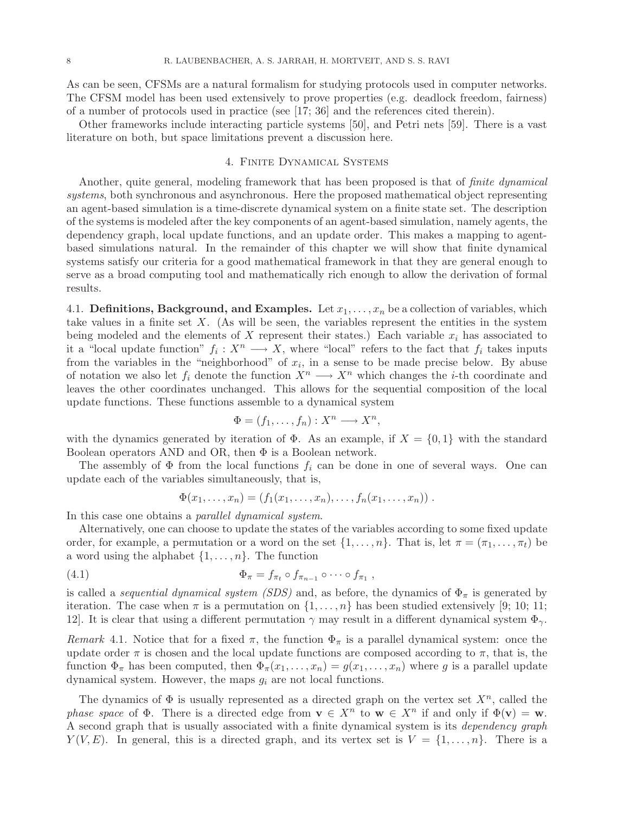As can be seen, CFSMs are a natural formalism for studying protocols used in computer networks. The CFSM model has been used extensively to prove properties (e.g. deadlock freedom, fairness) of a number of protocols used in practice (see [17; 36] and the references cited therein).

Other frameworks include interacting particle systems [50], and Petri nets [59]. There is a vast literature on both, but space limitations prevent a discussion here.

### 4. Finite Dynamical Systems

Another, quite general, modeling framework that has been proposed is that of *finite dynamical* systems, both synchronous and asynchronous. Here the proposed mathematical object representing an agent-based simulation is a time-discrete dynamical system on a finite state set. The description of the systems is modeled after the key components of an agent-based simulation, namely agents, the dependency graph, local update functions, and an update order. This makes a mapping to agentbased simulations natural. In the remainder of this chapter we will show that finite dynamical systems satisfy our criteria for a good mathematical framework in that they are general enough to serve as a broad computing tool and mathematically rich enough to allow the derivation of formal results.

4.1. **Definitions, Background, and Examples.** Let  $x_1, \ldots, x_n$  be a collection of variables, which take values in a finite set X. (As will be seen, the variables represent the entities in the system being modeled and the elements of X represent their states.) Each variable  $x_i$  has associated to it a "local update function"  $f_i : X^n \longrightarrow X$ , where "local" refers to the fact that  $f_i$  takes inputs from the variables in the "neighborhood" of  $x_i$ , in a sense to be made precise below. By abuse of notation we also let  $f_i$  denote the function  $X^n \longrightarrow X^n$  which changes the *i*-th coordinate and leaves the other coordinates unchanged. This allows for the sequential composition of the local update functions. These functions assemble to a dynamical system

$$
\Phi = (f_1, \dots, f_n) : X^n \longrightarrow X^n,
$$

with the dynamics generated by iteration of  $\Phi$ . As an example, if  $X = \{0, 1\}$  with the standard Boolean operators AND and OR, then Φ is a Boolean network.

The assembly of  $\Phi$  from the local functions  $f_i$  can be done in one of several ways. One can update each of the variables simultaneously, that is,

$$
\Phi(x_1, ..., x_n) = (f_1(x_1, ..., x_n), ..., f_n(x_1, ..., x_n)).
$$

In this case one obtains a *parallel dynamical system*.

Alternatively, one can choose to update the states of the variables according to some fixed update order, for example, a permutation or a word on the set  $\{1,\ldots,n\}$ . That is, let  $\pi = (\pi_1,\ldots,\pi_t)$  be a word using the alphabet  $\{1,\ldots,n\}$ . The function

(4.1) 
$$
\Phi_{\pi} = f_{\pi_t} \circ f_{\pi_{n-1}} \circ \cdots \circ f_{\pi_1} ,
$$

is called a *sequential dynamical system (SDS)* and, as before, the dynamics of  $\Phi_{\pi}$  is generated by iteration. The case when  $\pi$  is a permutation on  $\{1,\ldots,n\}$  has been studied extensively [9; 10; 11; 12. It is clear that using a different permutation  $\gamma$  may result in a different dynamical system  $\Phi_{\gamma}$ .

Remark 4.1. Notice that for a fixed  $\pi$ , the function  $\Phi_{\pi}$  is a parallel dynamical system: once the update order  $\pi$  is chosen and the local update functions are composed according to  $\pi$ , that is, the function  $\Phi_{\pi}$  has been computed, then  $\Phi_{\pi}(x_1,\ldots,x_n) = g(x_1,\ldots,x_n)$  where g is a parallel update dynamical system. However, the maps  $g_i$  are not local functions.

The dynamics of  $\Phi$  is usually represented as a directed graph on the vertex set  $X^n$ , called the phase space of  $\Phi$ . There is a directed edge from  $\mathbf{v} \in X^n$  to  $\mathbf{w} \in X^n$  if and only if  $\Phi(\mathbf{v}) = \mathbf{w}$ . A second graph that is usually associated with a finite dynamical system is its *dependency graph*  $Y(V, E)$ . In general, this is a directed graph, and its vertex set is  $V = \{1, \ldots, n\}$ . There is a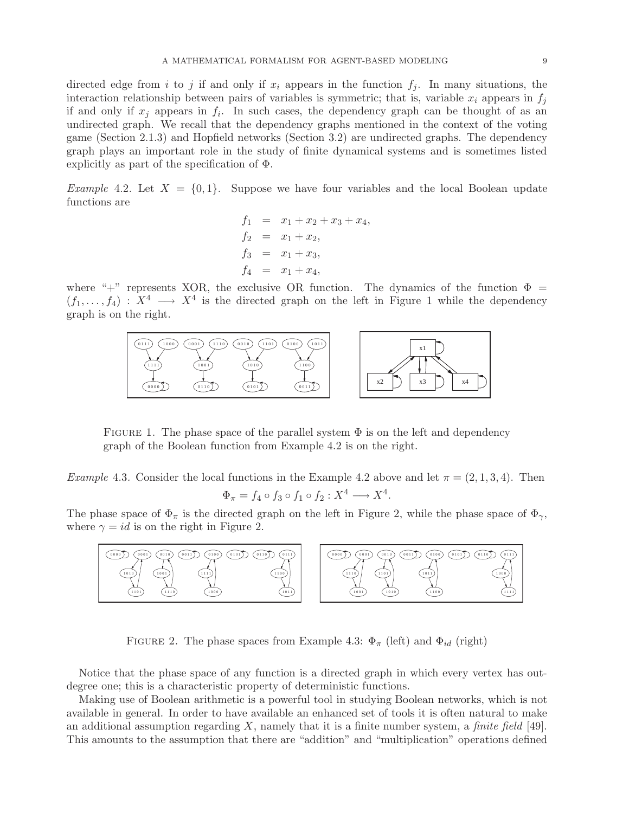directed edge from i to j if and only if  $x_i$  appears in the function  $f_i$ . In many situations, the interaction relationship between pairs of variables is symmetric; that is, variable  $x_i$  appears in  $f_i$ if and only if  $x_j$  appears in  $f_i$ . In such cases, the dependency graph can be thought of as an undirected graph. We recall that the dependency graphs mentioned in the context of the voting game (Section 2.1.3) and Hopfield networks (Section 3.2) are undirected graphs. The dependency graph plays an important role in the study of finite dynamical systems and is sometimes listed explicitly as part of the specification of  $\Phi$ .

*Example 4.2.* Let  $X = \{0, 1\}$ . Suppose we have four variables and the local Boolean update functions are

$$
f_1 = x_1 + x_2 + x_3 + x_4,
$$
  
\n
$$
f_2 = x_1 + x_2,
$$
  
\n
$$
f_3 = x_1 + x_3,
$$
  
\n
$$
f_4 = x_1 + x_4,
$$

where "+" represents XOR, the exclusive OR function. The dynamics of the function  $\Phi =$  $(f_1,\ldots,f_4)$ :  $X^4 \longrightarrow X^4$  is the directed graph on the left in Figure 1 while the dependency graph is on the right.



FIGURE 1. The phase space of the parallel system  $\Phi$  is on the left and dependency graph of the Boolean function from Example 4.2 is on the right.

Example 4.3. Consider the local functions in the Example 4.2 above and let  $\pi = (2, 1, 3, 4)$ . Then  $\Phi_{\pi} = f_4 \circ f_3 \circ f_1 \circ f_2 : X^4 \longrightarrow X^4.$ 

The phase space of  $\Phi_{\pi}$  is the directed graph on the left in Figure 2, while the phase space of  $\Phi_{\gamma}$ , where  $\gamma = id$  is on the right in Figure 2.



FIGURE 2. The phase spaces from Example 4.3:  $\Phi_{\pi}$  (left) and  $\Phi_{id}$  (right)

Notice that the phase space of any function is a directed graph in which every vertex has outdegree one; this is a characteristic property of deterministic functions.

Making use of Boolean arithmetic is a powerful tool in studying Boolean networks, which is not available in general. In order to have available an enhanced set of tools it is often natural to make an additional assumption regarding X, namely that it is a finite number system, a *finite field* [49]. This amounts to the assumption that there are "addition" and "multiplication" operations defined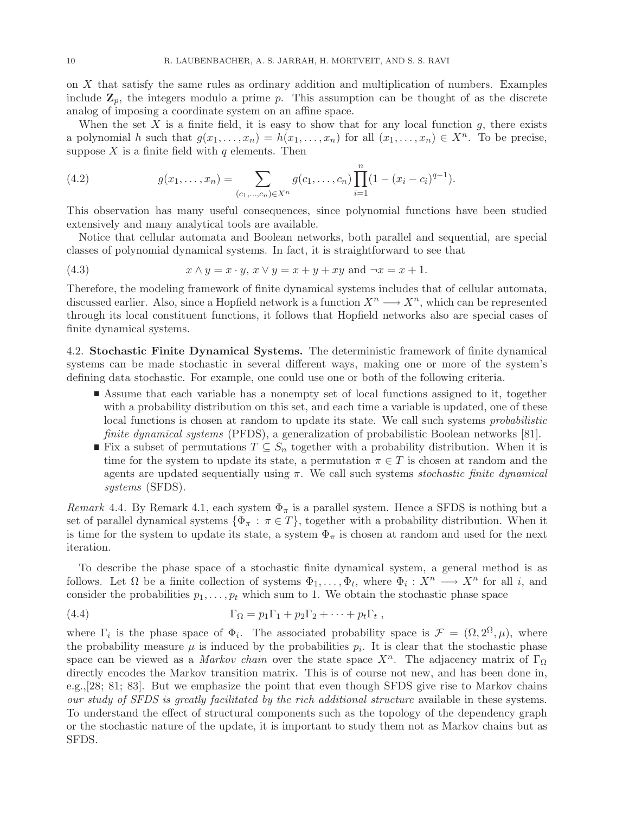on X that satisfy the same rules as ordinary addition and multiplication of numbers. Examples include  $\mathbf{Z}_p$ , the integers modulo a prime p. This assumption can be thought of as the discrete analog of imposing a coordinate system on an affine space.

When the set X is a finite field, it is easy to show that for any local function  $g$ , there exists a polynomial h such that  $g(x_1,...,x_n) = h(x_1,...,x_n)$  for all  $(x_1,...,x_n) \in X^n$ . To be precise, suppose  $X$  is a finite field with  $q$  elements. Then

(4.2) 
$$
g(x_1,\ldots,x_n) = \sum_{(c_1,\ldots,c_n)\in X^n} g(c_1,\ldots,c_n) \prod_{i=1}^n (1-(x_i-c_i)^{q-1}).
$$

This observation has many useful consequences, since polynomial functions have been studied extensively and many analytical tools are available.

Notice that cellular automata and Boolean networks, both parallel and sequential, are special classes of polynomial dynamical systems. In fact, it is straightforward to see that

(4.3) 
$$
x \wedge y = x \cdot y, x \vee y = x + y + xy \text{ and } \neg x = x + 1.
$$

Therefore, the modeling framework of finite dynamical systems includes that of cellular automata, discussed earlier. Also, since a Hopfield network is a function  $X^n \longrightarrow X^n$ , which can be represented through its local constituent functions, it follows that Hopfield networks also are special cases of finite dynamical systems.

4.2. **Stochastic Finite Dynamical Systems.** The deterministic framework of finite dynamical systems can be made stochastic in several different ways, making one or more of the system's defining data stochastic. For example, one could use one or both of the following criteria.

- Assume that each variable has a nonempty set of local functions assigned to it, together with a probability distribution on this set, and each time a variable is updated, one of these local functions is chosen at random to update its state. We call such systems *probabilistic* finite dynamical systems (PFDS), a generalization of probabilistic Boolean networks [81].
- Fix a subset of permutations  $T \subseteq S_n$  together with a probability distribution. When it is time for the system to update its state, a permutation  $\pi \in T$  is chosen at random and the agents are updated sequentially using  $\pi$ . We call such systems *stochastic finite dynamical* systems (SFDS).

Remark 4.4. By Remark 4.1, each system  $\Phi_{\pi}$  is a parallel system. Hence a SFDS is nothing but a set of parallel dynamical systems  $\{\Phi_{\pi} : \pi \in T\}$ , together with a probability distribution. When it is time for the system to update its state, a system  $\Phi_{\pi}$  is chosen at random and used for the next iteration.

To describe the phase space of a stochastic finite dynamical system, a general method is as follows. Let  $\Omega$  be a finite collection of systems  $\Phi_1,\ldots,\Phi_t$ , where  $\Phi_i: X^n \longrightarrow X^n$  for all i, and consider the probabilities  $p_1, \ldots, p_t$  which sum to 1. We obtain the stochastic phase space

(4.4) 
$$
\Gamma_{\Omega} = p_1 \Gamma_1 + p_2 \Gamma_2 + \cdots + p_t \Gamma_t ,
$$

where  $\Gamma_i$  is the phase space of  $\Phi_i$ . The associated probability space is  $\mathcal{F} = (\Omega, 2^{\Omega}, \mu)$ , where the probability measure  $\mu$  is induced by the probabilities  $p_i$ . It is clear that the stochastic phase space can be viewed as a Markov chain over the state space  $X<sup>n</sup>$ . The adjacency matrix of  $\Gamma_{\Omega}$ directly encodes the Markov transition matrix. This is of course not new, and has been done in, e.g.,[28; 81; 83]. But we emphasize the point that even though SFDS give rise to Markov chains our study of SFDS is greatly facilitated by the rich additional structure available in these systems. To understand the effect of structural components such as the topology of the dependency graph or the stochastic nature of the update, it is important to study them not as Markov chains but as SFDS.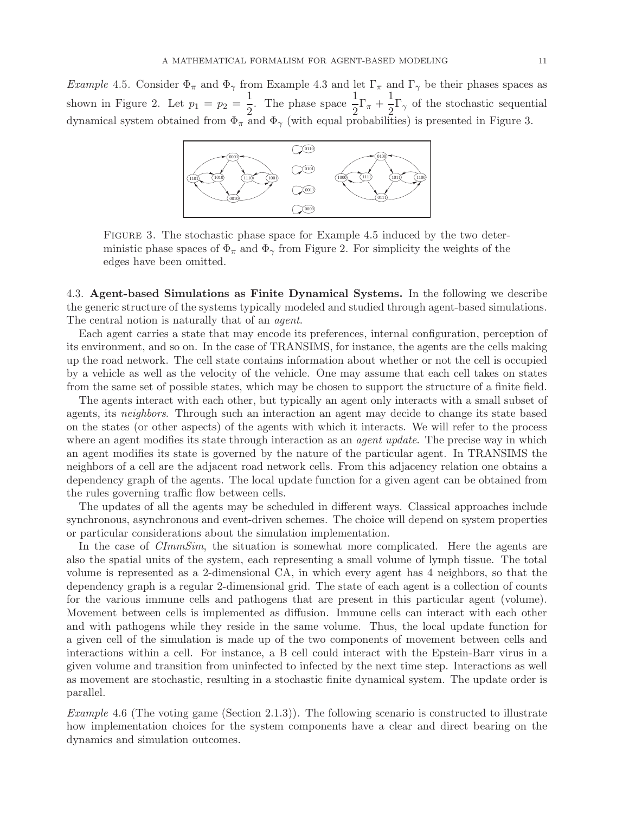Example 4.5. Consider  $\Phi_{\pi}$  and  $\Phi_{\gamma}$  from Example 4.3 and let  $\Gamma_{\pi}$  and  $\Gamma_{\gamma}$  be their phases spaces as shown in Figure 2. Let  $p_1 = p_2 = \frac{1}{2}$ . The phase space  $\frac{1}{2}\Gamma_\pi + \frac{1}{2}$  $\frac{1}{2}\Gamma_{\gamma}$  of the stochastic sequential dynamical system obtained from  $\Phi_{\pi}$  and  $\Phi_{\gamma}$  (with equal probabilities) is presented in Figure 3.



Figure 3. The stochastic phase space for Example 4.5 induced by the two deterministic phase spaces of  $\Phi_{\pi}$  and  $\Phi_{\gamma}$  from Figure 2. For simplicity the weights of the edges have been omitted.

4.3. **Agent-based Simulations as Finite Dynamical Systems.** In the following we describe the generic structure of the systems typically modeled and studied through agent-based simulations. The central notion is naturally that of an agent.

Each agent carries a state that may encode its preferences, internal configuration, perception of its environment, and so on. In the case of TRANSIMS, for instance, the agents are the cells making up the road network. The cell state contains information about whether or not the cell is occupied by a vehicle as well as the velocity of the vehicle. One may assume that each cell takes on states from the same set of possible states, which may be chosen to support the structure of a finite field.

The agents interact with each other, but typically an agent only interacts with a small subset of agents, its *neighbors*. Through such an interaction an agent may decide to change its state based on the states (or other aspects) of the agents with which it interacts. We will refer to the process where an agent modifies its state through interaction as an *agent update*. The precise way in which an agent modifies its state is governed by the nature of the particular agent. In TRANSIMS the neighbors of a cell are the adjacent road network cells. From this adjacency relation one obtains a dependency graph of the agents. The local update function for a given agent can be obtained from the rules governing traffic flow between cells.

The updates of all the agents may be scheduled in different ways. Classical approaches include synchronous, asynchronous and event-driven schemes. The choice will depend on system properties or particular considerations about the simulation implementation.

In the case of *CImmSim*, the situation is somewhat more complicated. Here the agents are also the spatial units of the system, each representing a small volume of lymph tissue. The total volume is represented as a 2-dimensional CA, in which every agent has 4 neighbors, so that the dependency graph is a regular 2-dimensional grid. The state of each agent is a collection of counts for the various immune cells and pathogens that are present in this particular agent (volume). Movement between cells is implemented as diffusion. Immune cells can interact with each other and with pathogens while they reside in the same volume. Thus, the local update function for a given cell of the simulation is made up of the two components of movement between cells and interactions within a cell. For instance, a B cell could interact with the Epstein-Barr virus in a given volume and transition from uninfected to infected by the next time step. Interactions as well as movement are stochastic, resulting in a stochastic finite dynamical system. The update order is parallel.

*Example* 4.6 (The voting game (Section 2.1.3)). The following scenario is constructed to illustrate how implementation choices for the system components have a clear and direct bearing on the dynamics and simulation outcomes.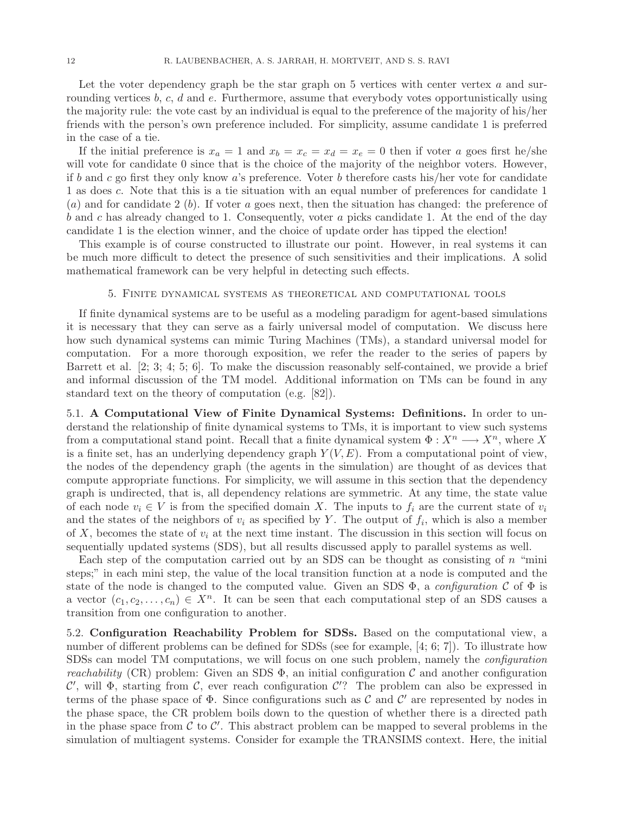Let the voter dependency graph be the star graph on  $5$  vertices with center vertex  $a$  and surrounding vertices b, c, d and e. Furthermore, assume that everybody votes opportunistically using the majority rule: the vote cast by an individual is equal to the preference of the majority of his/her friends with the person's own preference included. For simplicity, assume candidate 1 is preferred in the case of a tie.

If the initial preference is  $x_a = 1$  and  $x_b = x_c = x_d = x_e = 0$  then if voter a goes first he/she will vote for candidate 0 since that is the choice of the majority of the neighbor voters. However, if b and c go first they only know a's preference. Voter b therefore casts his/her vote for candidate 1 as does c. Note that this is a tie situation with an equal number of preferences for candidate 1 (a) and for candidate 2 (b). If voter a goes next, then the situation has changed: the preference of b and c has already changed to 1. Consequently, voter  $a$  picks candidate 1. At the end of the day candidate 1 is the election winner, and the choice of update order has tipped the election!

This example is of course constructed to illustrate our point. However, in real systems it can be much more difficult to detect the presence of such sensitivities and their implications. A solid mathematical framework can be very helpful in detecting such effects.

## 5. Finite dynamical systems as theoretical and computational tools

If finite dynamical systems are to be useful as a modeling paradigm for agent-based simulations it is necessary that they can serve as a fairly universal model of computation. We discuss here how such dynamical systems can mimic Turing Machines (TMs), a standard universal model for computation. For a more thorough exposition, we refer the reader to the series of papers by Barrett et al. [2; 3; 4; 5; 6]. To make the discussion reasonably self-contained, we provide a brief and informal discussion of the TM model. Additional information on TMs can be found in any standard text on the theory of computation (e.g. [82]).

5.1. **A Computational View of Finite Dynamical Systems: Definitions.** In order to understand the relationship of finite dynamical systems to TMs, it is important to view such systems from a computational stand point. Recall that a finite dynamical system  $\Phi: X^n \longrightarrow X^n$ , where X is a finite set, has an underlying dependency graph  $Y(V, E)$ . From a computational point of view, the nodes of the dependency graph (the agents in the simulation) are thought of as devices that compute appropriate functions. For simplicity, we will assume in this section that the dependency graph is undirected, that is, all dependency relations are symmetric. At any time, the state value of each node  $v_i \in V$  is from the specified domain X. The inputs to  $f_i$  are the current state of  $v_i$ and the states of the neighbors of  $v_i$  as specified by Y. The output of  $f_i$ , which is also a member of X, becomes the state of  $v_i$  at the next time instant. The discussion in this section will focus on sequentially updated systems (SDS), but all results discussed apply to parallel systems as well.

Each step of the computation carried out by an SDS can be thought as consisting of  $n$  "mini steps;" in each mini step, the value of the local transition function at a node is computed and the state of the node is changed to the computed value. Given an SDS  $\Phi$ , a *configuration*  $\mathcal C$  of  $\Phi$  is a vector  $(c_1, c_2, \ldots, c_n) \in X^n$ . It can be seen that each computational step of an SDS causes a transition from one configuration to another.

5.2. **Configuration Reachability Problem for SDSs.** Based on the computational view, a number of different problems can be defined for SDSs (see for example, [4; 6; 7]). To illustrate how SDSs can model TM computations, we will focus on one such problem, namely the configuration reachability (CR) problem: Given an SDS  $\Phi$ , an initial configuration C and another configuration  $\mathcal{C}'$ , will  $\Phi$ , starting from  $\mathcal{C}$ , ever reach configuration  $\mathcal{C}'$ ? The problem can also be expressed in terms of the phase space of  $\Phi$ . Since configurations such as C and C' are represented by nodes in the phase space, the CR problem boils down to the question of whether there is a directed path in the phase space from  $\mathcal C$  to  $\mathcal C'$ . This abstract problem can be mapped to several problems in the simulation of multiagent systems. Consider for example the TRANSIMS context. Here, the initial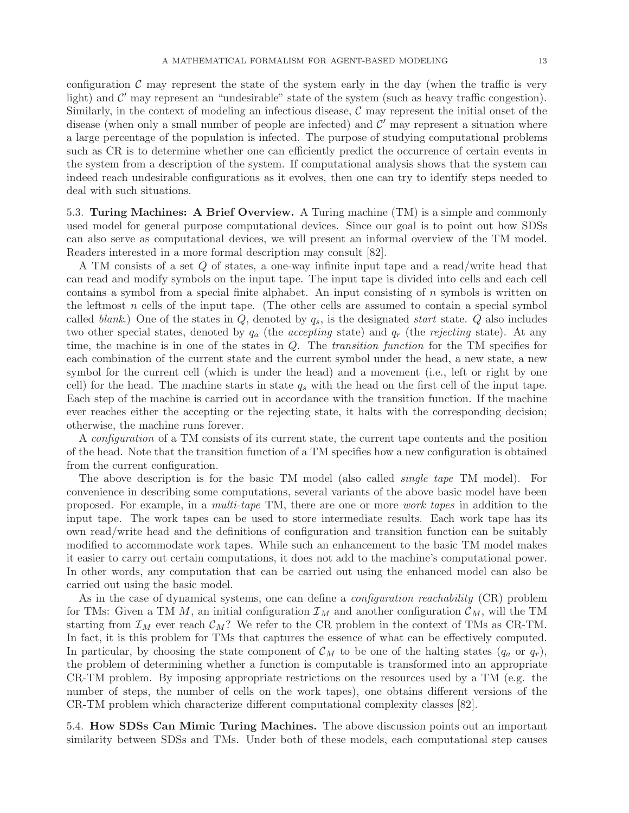configuration  $\mathcal C$  may represent the state of the system early in the day (when the traffic is very light) and  $\mathcal{C}'$  may represent an "undesirable" state of the system (such as heavy traffic congestion). Similarly, in the context of modeling an infectious disease,  $\mathcal C$  may represent the initial onset of the disease (when only a small number of people are infected) and  $\mathcal{C}'$  may represent a situation where a large percentage of the population is infected. The purpose of studying computational problems such as CR is to determine whether one can efficiently predict the occurrence of certain events in the system from a description of the system. If computational analysis shows that the system can indeed reach undesirable configurations as it evolves, then one can try to identify steps needed to deal with such situations.

5.3. **Turing Machines: A Brief Overview.** A Turing machine (TM) is a simple and commonly used model for general purpose computational devices. Since our goal is to point out how SDSs can also serve as computational devices, we will present an informal overview of the TM model. Readers interested in a more formal description may consult [82].

A TM consists of a set Q of states, a one-way infinite input tape and a read/write head that can read and modify symbols on the input tape. The input tape is divided into cells and each cell contains a symbol from a special finite alphabet. An input consisting of  $n$  symbols is written on the leftmost n cells of the input tape. (The other cells are assumed to contain a special symbol called blank.) One of the states in  $Q$ , denoted by  $q_s$ , is the designated start state. Q also includes two other special states, denoted by  $q_a$  (the *accepting* state) and  $q_r$  (the *rejecting* state). At any time, the machine is in one of the states in Q. The *transition function* for the TM specifies for each combination of the current state and the current symbol under the head, a new state, a new symbol for the current cell (which is under the head) and a movement (i.e., left or right by one cell) for the head. The machine starts in state  $q_s$  with the head on the first cell of the input tape. Each step of the machine is carried out in accordance with the transition function. If the machine ever reaches either the accepting or the rejecting state, it halts with the corresponding decision; otherwise, the machine runs forever.

A configuration of a TM consists of its current state, the current tape contents and the position of the head. Note that the transition function of a TM specifies how a new configuration is obtained from the current configuration.

The above description is for the basic TM model (also called single tape TM model). For convenience in describing some computations, several variants of the above basic model have been proposed. For example, in a *multi-tape* TM, there are one or more *work tapes* in addition to the input tape. The work tapes can be used to store intermediate results. Each work tape has its own read/write head and the definitions of configuration and transition function can be suitably modified to accommodate work tapes. While such an enhancement to the basic TM model makes it easier to carry out certain computations, it does not add to the machine's computational power. In other words, any computation that can be carried out using the enhanced model can also be carried out using the basic model.

As in the case of dynamical systems, one can define a *configuration reachability* (CR) problem for TMs: Given a TM M, an initial configuration  $\mathcal{I}_M$  and another configuration  $\mathcal{C}_M$ , will the TM starting from  $\mathcal{I}_M$  ever reach  $\mathcal{C}_M$ ? We refer to the CR problem in the context of TMs as CR-TM. In fact, it is this problem for TMs that captures the essence of what can be effectively computed. In particular, by choosing the state component of  $\mathcal{C}_M$  to be one of the halting states  $(q_a \text{ or } q_r)$ , the problem of determining whether a function is computable is transformed into an appropriate CR-TM problem. By imposing appropriate restrictions on the resources used by a TM (e.g. the number of steps, the number of cells on the work tapes), one obtains different versions of the CR-TM problem which characterize different computational complexity classes [82].

5.4. **How SDSs Can Mimic Turing Machines.** The above discussion points out an important similarity between SDSs and TMs. Under both of these models, each computational step causes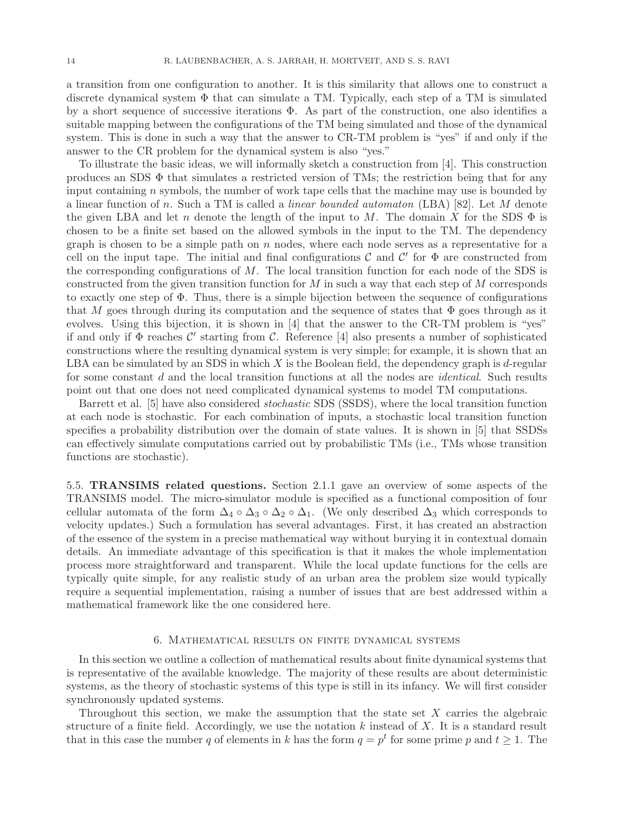a transition from one configuration to another. It is this similarity that allows one to construct a discrete dynamical system  $\Phi$  that can simulate a TM. Typically, each step of a TM is simulated by a short sequence of successive iterations Φ. As part of the construction, one also identifies a suitable mapping between the configurations of the TM being simulated and those of the dynamical system. This is done in such a way that the answer to CR-TM problem is "yes" if and only if the answer to the CR problem for the dynamical system is also "yes."

To illustrate the basic ideas, we will informally sketch a construction from [4]. This construction produces an SDS  $\Phi$  that simulates a restricted version of TMs; the restriction being that for any input containing  $n$  symbols, the number of work tape cells that the machine may use is bounded by a linear function of n. Such a TM is called a *linear bounded automaton* (LBA) [82]. Let M denote the given LBA and let n denote the length of the input to M. The domain X for the SDS  $\Phi$  is chosen to be a finite set based on the allowed symbols in the input to the TM. The dependency graph is chosen to be a simple path on  $n$  nodes, where each node serves as a representative for a cell on the input tape. The initial and final configurations  $\mathcal C$  and  $\mathcal C'$  for  $\Phi$  are constructed from the corresponding configurations of  $M$ . The local transition function for each node of the SDS is constructed from the given transition function for M in such a way that each step of M corresponds to exactly one step of  $\Phi$ . Thus, there is a simple bijection between the sequence of configurations that M goes through during its computation and the sequence of states that  $\Phi$  goes through as it evolves. Using this bijection, it is shown in [4] that the answer to the CR-TM problem is "yes" if and only if  $\Phi$  reaches  $\mathcal{C}'$  starting from  $\mathcal{C}$ . Reference [4] also presents a number of sophisticated constructions where the resulting dynamical system is very simple; for example, it is shown that an LBA can be simulated by an SDS in which  $X$  is the Boolean field, the dependency graph is d-regular for some constant d and the local transition functions at all the nodes are *identical*. Such results point out that one does not need complicated dynamical systems to model TM computations.

Barrett et al. [5] have also considered *stochastic* SDS (SSDS), where the local transition function at each node is stochastic. For each combination of inputs, a stochastic local transition function specifies a probability distribution over the domain of state values. It is shown in [5] that SSDSs can effectively simulate computations carried out by probabilistic TMs (i.e., TMs whose transition functions are stochastic).

5.5. **TRANSIMS related questions.** Section 2.1.1 gave an overview of some aspects of the TRANSIMS model. The micro-simulator module is specified as a functional composition of four cellular automata of the form  $\Delta_4 \circ \Delta_3 \circ \Delta_2 \circ \Delta_1$ . (We only described  $\Delta_3$  which corresponds to velocity updates.) Such a formulation has several advantages. First, it has created an abstraction of the essence of the system in a precise mathematical way without burying it in contextual domain details. An immediate advantage of this specification is that it makes the whole implementation process more straightforward and transparent. While the local update functions for the cells are typically quite simple, for any realistic study of an urban area the problem size would typically require a sequential implementation, raising a number of issues that are best addressed within a mathematical framework like the one considered here.

# 6. Mathematical results on finite dynamical systems

In this section we outline a collection of mathematical results about finite dynamical systems that is representative of the available knowledge. The majority of these results are about deterministic systems, as the theory of stochastic systems of this type is still in its infancy. We will first consider synchronously updated systems.

Throughout this section, we make the assumption that the state set  $X$  carries the algebraic structure of a finite field. Accordingly, we use the notation  $k$  instead of  $X$ . It is a standard result that in this case the number q of elements in k has the form  $q = p^t$  for some prime p and  $t \ge 1$ . The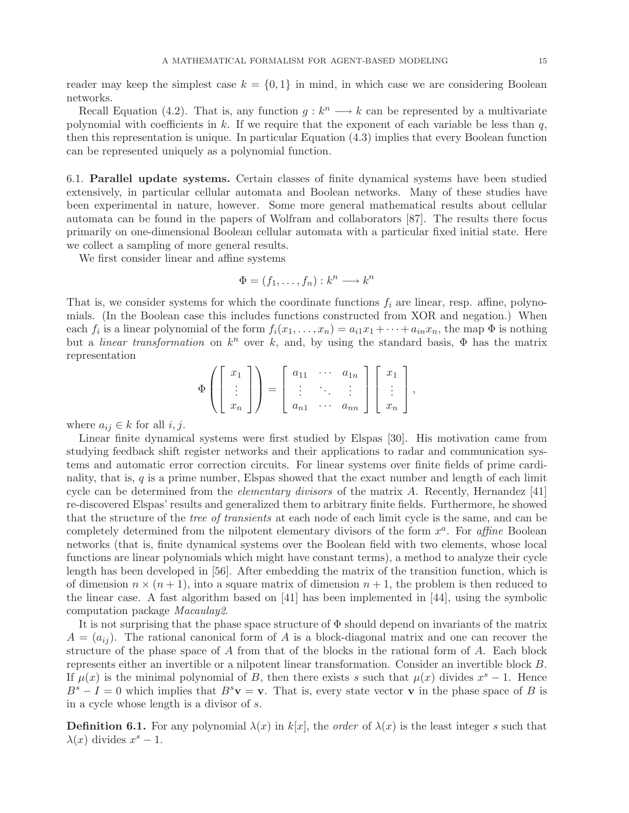reader may keep the simplest case  $k = \{0, 1\}$  in mind, in which case we are considering Boolean networks.

Recall Equation (4.2). That is, any function  $g : k^n \longrightarrow k$  can be represented by a multivariate polynomial with coefficients in k. If we require that the exponent of each variable be less than  $q$ , then this representation is unique. In particular Equation (4.3) implies that every Boolean function can be represented uniquely as a polynomial function.

6.1. **Parallel update systems.** Certain classes of finite dynamical systems have been studied extensively, in particular cellular automata and Boolean networks. Many of these studies have been experimental in nature, however. Some more general mathematical results about cellular automata can be found in the papers of Wolfram and collaborators [87]. The results there focus primarily on one-dimensional Boolean cellular automata with a particular fixed initial state. Here we collect a sampling of more general results.

We first consider linear and affine systems

$$
\Phi = (f_1, \dots, f_n) : k^n \longrightarrow k^n
$$

That is, we consider systems for which the coordinate functions  $f_i$  are linear, resp. affine, polynomials. (In the Boolean case this includes functions constructed from XOR and negation.) When each  $f_i$  is a linear polynomial of the form  $f_i(x_1,\ldots,x_n) = a_{i1}x_1 + \cdots + a_{in}x_n$ , the map  $\Phi$  is nothing but a *linear transformation* on  $k^n$  over k, and, by using the standard basis,  $\Phi$  has the matrix representation

$$
\Phi\left(\left[\begin{array}{c} x_1 \\ \vdots \\ x_n \end{array}\right]\right) = \left[\begin{array}{ccc} a_{11} & \cdots & a_{1n} \\ \vdots & \ddots & \vdots \\ a_{n1} & \cdots & a_{nn} \end{array}\right] \left[\begin{array}{c} x_1 \\ \vdots \\ x_n \end{array}\right],
$$

where  $a_{ij} \in k$  for all  $i, j$ .

Linear finite dynamical systems were first studied by Elspas [30]. His motivation came from studying feedback shift register networks and their applications to radar and communication systems and automatic error correction circuits. For linear systems over finite fields of prime cardinality, that is,  $q$  is a prime number, Elspas showed that the exact number and length of each limit cycle can be determined from the *elementary divisors* of the matrix  $A$ . Recently, Hernandez [41] re-discovered Elspas' results and generalized them to arbitrary finite fields. Furthermore, he showed that the structure of the *tree of transients* at each node of each limit cycle is the same, and can be completely determined from the nilpotent elementary divisors of the form  $x^a$ . For affine Boolean networks (that is, finite dynamical systems over the Boolean field with two elements, whose local functions are linear polynomials which might have constant terms), a method to analyze their cycle length has been developed in [56]. After embedding the matrix of the transition function, which is of dimension  $n \times (n+1)$ , into a square matrix of dimension  $n+1$ , the problem is then reduced to the linear case. A fast algorithm based on [41] has been implemented in [44], using the symbolic computation package Macaulay2.

It is not surprising that the phase space structure of  $\Phi$  should depend on invariants of the matrix  $A = (a_{ij})$ . The rational canonical form of A is a block-diagonal matrix and one can recover the structure of the phase space of A from that of the blocks in the rational form of  $A$ . Each block represents either an invertible or a nilpotent linear transformation. Consider an invertible block B. If  $\mu(x)$  is the minimal polynomial of B, then there exists s such that  $\mu(x)$  divides  $x<sup>s</sup> - 1$ . Hence  $B^s - I = 0$  which implies that  $B^s \mathbf{v} = \mathbf{v}$ . That is, every state vector **v** in the phase space of B is in a cycle whose length is a divisor of s.

**Definition 6.1.** For any polynomial  $\lambda(x)$  in  $k[x]$ , the *order* of  $\lambda(x)$  is the least integer s such that  $\lambda(x)$  divides  $x^s - 1$ .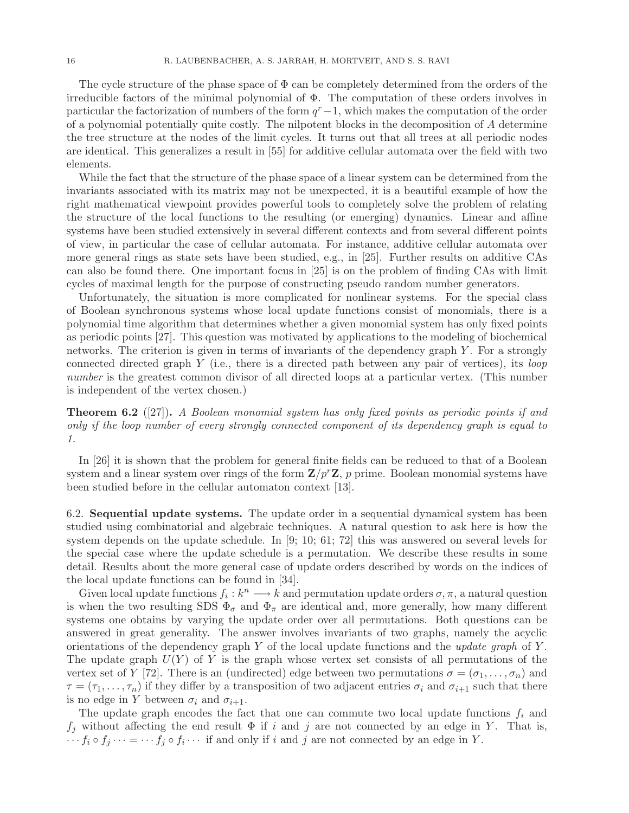The cycle structure of the phase space of  $\Phi$  can be completely determined from the orders of the irreducible factors of the minimal polynomial of Φ. The computation of these orders involves in particular the factorization of numbers of the form  $q^r-1$ , which makes the computation of the order of a polynomial potentially quite costly. The nilpotent blocks in the decomposition of A determine the tree structure at the nodes of the limit cycles. It turns out that all trees at all periodic nodes are identical. This generalizes a result in [55] for additive cellular automata over the field with two elements.

While the fact that the structure of the phase space of a linear system can be determined from the invariants associated with its matrix may not be unexpected, it is a beautiful example of how the right mathematical viewpoint provides powerful tools to completely solve the problem of relating the structure of the local functions to the resulting (or emerging) dynamics. Linear and affine systems have been studied extensively in several different contexts and from several different points of view, in particular the case of cellular automata. For instance, additive cellular automata over more general rings as state sets have been studied, e.g., in [25]. Further results on additive CAs can also be found there. One important focus in [25] is on the problem of finding CAs with limit cycles of maximal length for the purpose of constructing pseudo random number generators.

Unfortunately, the situation is more complicated for nonlinear systems. For the special class of Boolean synchronous systems whose local update functions consist of monomials, there is a polynomial time algorithm that determines whether a given monomial system has only fixed points as periodic points [27]. This question was motivated by applications to the modeling of biochemical networks. The criterion is given in terms of invariants of the dependency graph Y. For a strongly connected directed graph  $Y$  (i.e., there is a directed path between any pair of vertices), its *loop* number is the greatest common divisor of all directed loops at a particular vertex. (This number is independent of the vertex chosen.)

**Theorem 6.2** ([27]). A Boolean monomial system has only fixed points as periodic points if and only if the loop number of every strongly connected component of its dependency graph is equal to 1.

In [26] it is shown that the problem for general finite fields can be reduced to that of a Boolean system and a linear system over rings of the form  $\mathbf{Z}/p^r\mathbf{Z}$ , p prime. Boolean monomial systems have been studied before in the cellular automaton context [13].

6.2. **Sequential update systems.** The update order in a sequential dynamical system has been studied using combinatorial and algebraic techniques. A natural question to ask here is how the system depends on the update schedule. In [9; 10; 61; 72] this was answered on several levels for the special case where the update schedule is a permutation. We describe these results in some detail. Results about the more general case of update orders described by words on the indices of the local update functions can be found in [34].

Given local update functions  $f_i : k^n \longrightarrow k$  and permutation update orders  $\sigma, \pi$ , a natural question is when the two resulting SDS  $\Phi_{\sigma}$  and  $\Phi_{\pi}$  are identical and, more generally, how many different systems one obtains by varying the update order over all permutations. Both questions can be answered in great generality. The answer involves invariants of two graphs, namely the acyclic orientations of the dependency graph Y of the local update functions and the *update graph* of Y. The update graph  $U(Y)$  of Y is the graph whose vertex set consists of all permutations of the vertex set of Y [72]. There is an (undirected) edge between two permutations  $\sigma = (\sigma_1, \ldots, \sigma_n)$  and  $\tau = (\tau_1, \ldots, \tau_n)$  if they differ by a transposition of two adjacent entries  $\sigma_i$  and  $\sigma_{i+1}$  such that there is no edge in Y between  $\sigma_i$  and  $\sigma_{i+1}$ .

The update graph encodes the fact that one can commute two local update functions  $f_i$  and  $f_j$  without affecting the end result  $\Phi$  if i and j are not connected by an edge in Y. That is,  $\cdots f_i \circ f_j \cdots = \cdots f_j \circ f_i \cdots$  if and only if i and j are not connected by an edge in Y.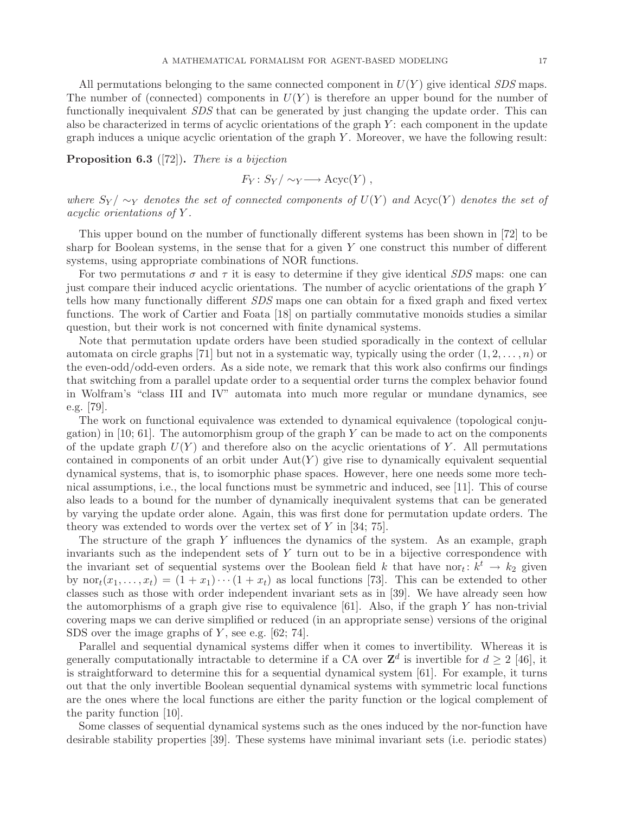All permutations belonging to the same connected component in  $U(Y)$  give identical SDS maps. The number of (connected) components in  $U(Y)$  is therefore an upper bound for the number of functionally inequivalent *SDS* that can be generated by just changing the update order. This can also be characterized in terms of acyclic orientations of the graph  $Y$ : each component in the update graph induces a unique acyclic orientation of the graph  $Y$ . Moreover, we have the following result:

**Proposition 6.3** ([72])**.** There is a bijection

$$
F_Y \colon S_Y / \sim_Y \longrightarrow \text{Acyc}(Y) ,
$$

where  $S_Y/\sim_Y$  denotes the set of connected components of  $U(Y)$  and  $Acyc(Y)$  denotes the set of acyclic orientations of Y .

This upper bound on the number of functionally different systems has been shown in [72] to be sharp for Boolean systems, in the sense that for a given  $Y$  one construct this number of different systems, using appropriate combinations of NOR functions.

For two permutations  $\sigma$  and  $\tau$  it is easy to determine if they give identical SDS maps: one can just compare their induced acyclic orientations. The number of acyclic orientations of the graph Y tells how many functionally different SDS maps one can obtain for a fixed graph and fixed vertex functions. The work of Cartier and Foata [18] on partially commutative monoids studies a similar question, but their work is not concerned with finite dynamical systems.

Note that permutation update orders have been studied sporadically in the context of cellular automata on circle graphs [71] but not in a systematic way, typically using the order  $(1, 2, \ldots, n)$  or the even-odd/odd-even orders. As a side note, we remark that this work also confirms our findings that switching from a parallel update order to a sequential order turns the complex behavior found in Wolfram's "class III and IV" automata into much more regular or mundane dynamics, see e.g. [79].

The work on functional equivalence was extended to dynamical equivalence (topological conjugation) in [10; 61]. The automorphism group of the graph Y can be made to act on the components of the update graph  $U(Y)$  and therefore also on the acyclic orientations of Y. All permutations contained in components of an orbit under  $Aut(Y)$  give rise to dynamically equivalent sequential dynamical systems, that is, to isomorphic phase spaces. However, here one needs some more technical assumptions, i.e., the local functions must be symmetric and induced, see [11]. This of course also leads to a bound for the number of dynamically inequivalent systems that can be generated by varying the update order alone. Again, this was first done for permutation update orders. The theory was extended to words over the vertex set of  $Y$  in [34; 75].

The structure of the graph Y influences the dynamics of the system. As an example, graph invariants such as the independent sets of  $Y$  turn out to be in a bijective correspondence with the invariant set of sequential systems over the Boolean field k that have nor<sub>t</sub>:  $k^t \rightarrow k_2$  given by  $\text{nor}_t(x_1,\ldots,x_t) = (1+x_1)\cdots(1+x_t)$  as local functions [73]. This can be extended to other classes such as those with order independent invariant sets as in [39]. We have already seen how the automorphisms of a graph give rise to equivalence [61]. Also, if the graph  $Y$  has non-trivial covering maps we can derive simplified or reduced (in an appropriate sense) versions of the original SDS over the image graphs of  $Y$ , see e.g. [62; 74].

Parallel and sequential dynamical systems differ when it comes to invertibility. Whereas it is generally computationally intractable to determine if a CA over  $\mathbb{Z}^d$  is invertible for  $d \geq 2$  [46], it is straightforward to determine this for a sequential dynamical system [61]. For example, it turns out that the only invertible Boolean sequential dynamical systems with symmetric local functions are the ones where the local functions are either the parity function or the logical complement of the parity function [10].

Some classes of sequential dynamical systems such as the ones induced by the nor-function have desirable stability properties [39]. These systems have minimal invariant sets (i.e. periodic states)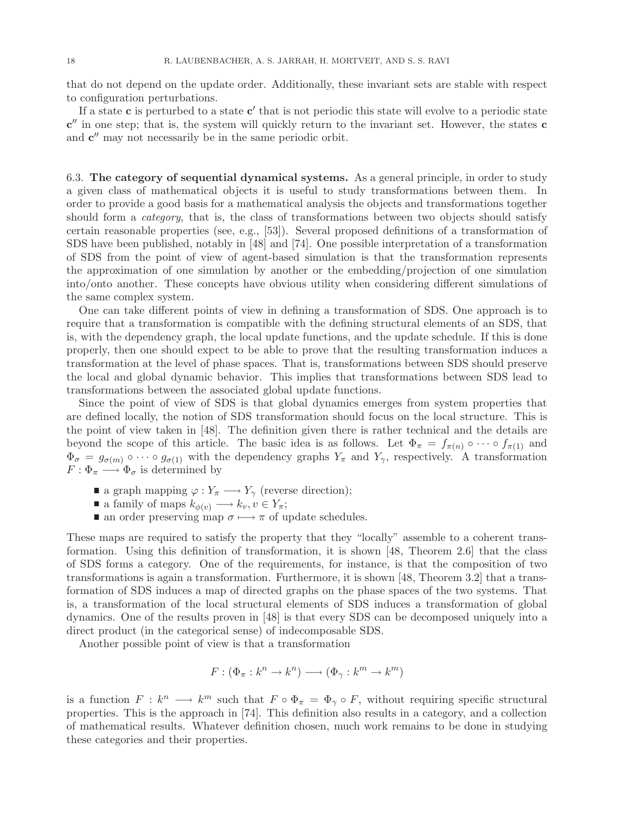that do not depend on the update order. Additionally, these invariant sets are stable with respect to configuration perturbations.

If a state  $\bf{c}$  is perturbed to a state  $\bf{c}'$  that is not periodic this state will evolve to a periodic state  $c''$  in one step; that is, the system will quickly return to the invariant set. However, the states **c** and  $\mathbf{c}''$  may not necessarily be in the same periodic orbit.

6.3. **The category of sequential dynamical systems.** As a general principle, in order to study a given class of mathematical objects it is useful to study transformations between them. In order to provide a good basis for a mathematical analysis the objects and transformations together should form a *category*, that is, the class of transformations between two objects should satisfy certain reasonable properties (see, e.g., [53]). Several proposed definitions of a transformation of SDS have been published, notably in [48] and [74]. One possible interpretation of a transformation of SDS from the point of view of agent-based simulation is that the transformation represents the approximation of one simulation by another or the embedding/projection of one simulation into/onto another. These concepts have obvious utility when considering different simulations of the same complex system.

One can take different points of view in defining a transformation of SDS. One approach is to require that a transformation is compatible with the defining structural elements of an SDS, that is, with the dependency graph, the local update functions, and the update schedule. If this is done properly, then one should expect to be able to prove that the resulting transformation induces a transformation at the level of phase spaces. That is, transformations between SDS should preserve the local and global dynamic behavior. This implies that transformations between SDS lead to transformations between the associated global update functions.

Since the point of view of SDS is that global dynamics emerges from system properties that are defined locally, the notion of SDS transformation should focus on the local structure. This is the point of view taken in [48]. The definition given there is rather technical and the details are beyond the scope of this article. The basic idea is as follows. Let  $\Phi_{\pi} = f_{\pi(n)} \circ \cdots \circ f_{\pi(1)}$  and  $\Phi_{\sigma} = g_{\sigma(m)} \circ \cdots \circ g_{\sigma(1)}$  with the dependency graphs  $Y_{\pi}$  and  $Y_{\gamma}$ , respectively. A transformation  $F: \Phi_{\pi} \longrightarrow \Phi_{\sigma}$  is determined by

- **a** graph mapping  $\varphi: Y_\pi \longrightarrow Y_\gamma$  (reverse direction);
- **a** family of maps  $k_{\phi(v)} \longrightarrow k_v, v \in Y_\pi;$
- an order preserving map  $\sigma \mapsto \pi$  of update schedules.

These maps are required to satisfy the property that they "locally" assemble to a coherent transformation. Using this definition of transformation, it is shown [48, Theorem 2.6] that the class of SDS forms a category. One of the requirements, for instance, is that the composition of two transformations is again a transformation. Furthermore, it is shown [48, Theorem 3.2] that a transformation of SDS induces a map of directed graphs on the phase spaces of the two systems. That is, a transformation of the local structural elements of SDS induces a transformation of global dynamics. One of the results proven in [48] is that every SDS can be decomposed uniquely into a direct product (in the categorical sense) of indecomposable SDS.

Another possible point of view is that a transformation

$$
F: (\Phi_{\pi}: k^{n} \to k^{n}) \longrightarrow (\Phi_{\gamma}: k^{m} \to k^{m})
$$

is a function  $F : k^n \longrightarrow k^m$  such that  $F \circ \Phi_\pi = \Phi_\gamma \circ F$ , without requiring specific structural properties. This is the approach in [74]. This definition also results in a category, and a collection of mathematical results. Whatever definition chosen, much work remains to be done in studying these categories and their properties.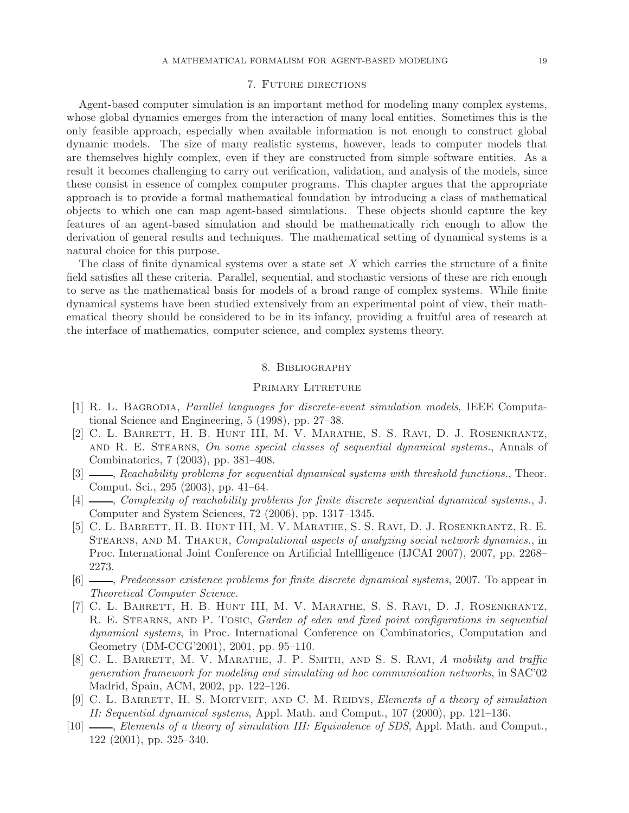#### 7. Future directions

Agent-based computer simulation is an important method for modeling many complex systems, whose global dynamics emerges from the interaction of many local entities. Sometimes this is the only feasible approach, especially when available information is not enough to construct global dynamic models. The size of many realistic systems, however, leads to computer models that are themselves highly complex, even if they are constructed from simple software entities. As a result it becomes challenging to carry out verification, validation, and analysis of the models, since these consist in essence of complex computer programs. This chapter argues that the appropriate approach is to provide a formal mathematical foundation by introducing a class of mathematical objects to which one can map agent-based simulations. These objects should capture the key features of an agent-based simulation and should be mathematically rich enough to allow the derivation of general results and techniques. The mathematical setting of dynamical systems is a natural choice for this purpose.

The class of finite dynamical systems over a state set  $X$  which carries the structure of a finite field satisfies all these criteria. Parallel, sequential, and stochastic versions of these are rich enough to serve as the mathematical basis for models of a broad range of complex systems. While finite dynamical systems have been studied extensively from an experimental point of view, their mathematical theory should be considered to be in its infancy, providing a fruitful area of research at the interface of mathematics, computer science, and complex systems theory.

### 8. Bibliography

### PRIMARY LITRETURE

- [1] R. L. Bagrodia, Parallel languages for discrete-event simulation models, IEEE Computational Science and Engineering, 5 (1998), pp. 27–38.
- [2] C. L. Barrett, H. B. Hunt III, M. V. Marathe, S. S. Ravi, D. J. Rosenkrantz, and R. E. Stearns, On some special classes of sequential dynamical systems., Annals of Combinatorics, 7 (2003), pp. 381–408.
- [3]  $\_\_\_\_\$ , Reachability problems for sequential dynamical systems with threshold functions., Theor. Comput. Sci., 295 (2003), pp. 41–64.
- [4]  $\frac{1}{2}$ , Complexity of reachability problems for finite discrete sequential dynamical systems., J. Computer and System Sciences, 72 (2006), pp. 1317–1345.
- [5] C. L. Barrett, H. B. Hunt III, M. V. Marathe, S. S. Ravi, D. J. Rosenkrantz, R. E. STEARNS, AND M. THAKUR, *Computational aspects of analyzing social network dynamics.*, in Proc. International Joint Conference on Artificial Intellligence (IJCAI 2007), 2007, pp. 2268– 2273.
- [6] , Predecessor existence problems for finite discrete dynamical systems, 2007. To appear in Theoretical Computer Science.
- [7] C. L. Barrett, H. B. Hunt III, M. V. Marathe, S. S. Ravi, D. J. Rosenkrantz, R. E. STEARNS, AND P. TOSIC, Garden of eden and fixed point configurations in sequential dynamical systems, in Proc. International Conference on Combinatorics, Computation and Geometry (DM-CCG'2001), 2001, pp. 95–110.
- [8] C. L. BARRETT, M. V. MARATHE, J. P. SMITH, AND S. S. RAVI, A mobility and traffic generation framework for modeling and simulating ad hoc communication networks, in SAC'02 Madrid, Spain, ACM, 2002, pp. 122–126.
- [9] C. L. BARRETT, H. S. MORTVEIT, AND C. M. REIDYS, *Elements of a theory of simulation* II: Sequential dynamical systems, Appl. Math. and Comput., 107 (2000), pp. 121–136.
- [10] Elements of a theory of simulation III: Equivalence of SDS, Appl. Math. and Comput., 122 (2001), pp. 325–340.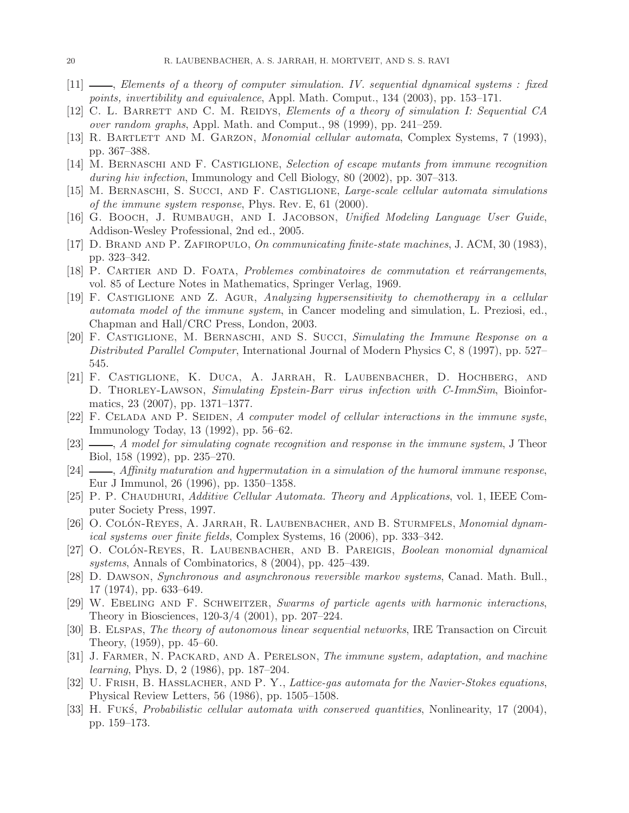- [11]  $\_\_\_\_\_\$ n. Elements of a theory of computer simulation. IV. sequential dynamical systems : fixed points, invertibility and equivalence, Appl. Math. Comput., 134 (2003), pp. 153–171.
- [12] C. L. BARRETT AND C. M. REIDYS, Elements of a theory of simulation I: Sequential CA over random graphs, Appl. Math. and Comput., 98 (1999), pp. 241–259.
- [13] R. Bartlett and M. Garzon, Monomial cellular automata, Complex Systems, 7 (1993), pp. 367–388.
- [14] M. Bernaschi and F. Castiglione, Selection of escape mutants from immune recognition during hiv infection, Immunology and Cell Biology, 80 (2002), pp. 307–313.
- [15] M. Bernaschi, S. Succi, and F. Castiglione, Large-scale cellular automata simulations of the immune system response, Phys. Rev. E, 61 (2000).
- [16] G. BOOCH, J. RUMBAUGH, AND I. JACOBSON, Unified Modeling Language User Guide, Addison-Wesley Professional, 2nd ed., 2005.
- [17] D. Brand and P. Zafiropulo, On communicating finite-state machines, J. ACM, 30 (1983), pp. 323–342.
- [18] P. CARTIER AND D. FOATA, *Problemes combinatoires de commutation et reárrangements*, vol. 85 of Lecture Notes in Mathematics, Springer Verlag, 1969.
- [19] F. Castiglione and Z. Agur, Analyzing hypersensitivity to chemotherapy in a cellular automata model of the immune system, in Cancer modeling and simulation, L. Preziosi, ed., Chapman and Hall/CRC Press, London, 2003.
- [20] F. CASTIGLIONE, M. BERNASCHI, AND S. SUCCI, Simulating the Immune Response on a Distributed Parallel Computer, International Journal of Modern Physics C, 8 (1997), pp. 527– 545.
- [21] F. Castiglione, K. Duca, A. Jarrah, R. Laubenbacher, D. Hochberg, and D. THORLEY-LAWSON, Simulating Epstein-Barr virus infection with C-ImmSim, Bioinformatics, 23 (2007), pp. 1371–1377.
- [22] F. CELADA AND P. SEIDEN, A computer model of cellular interactions in the immune syste, Immunology Today, 13 (1992), pp. 56–62.
- $[23]$   $\_\_\_\_$ , A model for simulating cognate recognition and response in the immune system, J Theor Biol, 158 (1992), pp. 235–270.
- $[24]$   $\ldots$ , Affinity maturation and hypermutation in a simulation of the humoral immune response, Eur J Immunol, 26 (1996), pp. 1350–1358.
- [25] P. P. CHAUDHURI, Additive Cellular Automata. Theory and Applications, vol. 1, IEEE Computer Society Press, 1997.
- [26] O. COLÓN-REYES, A. JARRAH, R. LAUBENBACHER, AND B. STURMFELS, Monomial dynamical systems over finite fields, Complex Systems, 16 (2006), pp. 333–342.
- [27] O. COLÓN-REYES, R. LAUBENBACHER, AND B. PAREIGIS, Boolean monomial dynamical systems, Annals of Combinatorics, 8 (2004), pp. 425–439.
- [28] D. Dawson, Synchronous and asynchronous reversible markov systems, Canad. Math. Bull., 17 (1974), pp. 633–649.
- [29] W. Ebeling and F. Schweitzer, Swarms of particle agents with harmonic interactions, Theory in Biosciences, 120-3/4 (2001), pp. 207–224.
- [30] B. Elspas, The theory of autonomous linear sequential networks, IRE Transaction on Circuit Theory, (1959), pp. 45–60.
- [31] J. FARMER, N. PACKARD, AND A. PERELSON, The immune system, adaptation, and machine learning, Phys. D, 2 (1986), pp. 187–204.
- [32] U. FRISH, B. HASSLACHER, AND P. Y., Lattice-gas automata for the Navier-Stokes equations, Physical Review Letters, 56 (1986), pp. 1505–1508.
- [33] H. Fuks, *Probabilistic cellular automata with conserved quantities*, Nonlinearity, 17 (2004), pp. 159–173.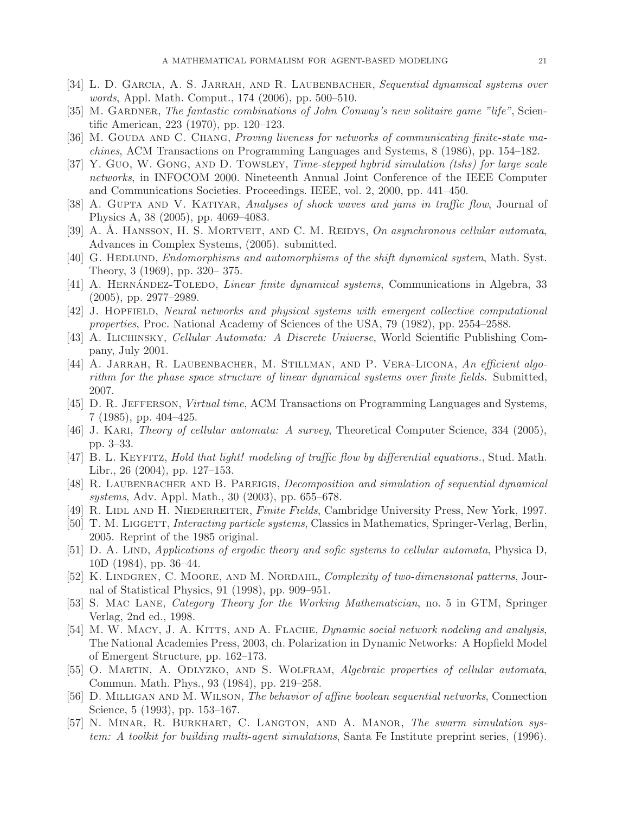- [34] L. D. GARCIA, A. S. JARRAH, AND R. LAUBENBACHER, Sequential dynamical systems over words, Appl. Math. Comput., 174 (2006), pp. 500–510.
- [35] M. GARDNER, The fantastic combinations of John Conway's new solitaire game "life", Scientific American, 223 (1970), pp. 120–123.
- [36] M. GOUDA AND C. CHANG, Proving liveness for networks of communicating finite-state machines, ACM Transactions on Programming Languages and Systems, 8 (1986), pp. 154–182.
- [37] Y. Guo, W. Gong, and D. Towsley, Time-stepped hybrid simulation (tshs) for large scale networks, in INFOCOM 2000. Nineteenth Annual Joint Conference of the IEEE Computer and Communications Societies. Proceedings. IEEE, vol. 2, 2000, pp. 441–450.
- [38] A. GUPTA AND V. KATIYAR, Analyses of shock waves and jams in traffic flow, Journal of Physics A, 38 (2005), pp. 4069–4083.
- [39] A. Å. HANSSON, H. S. MORTVEIT, AND C. M. REIDYS, On asynchronous cellular automata, Advances in Complex Systems, (2005). submitted.
- [40] G. HEDLUND, Endomorphisms and automorphisms of the shift dynamical system, Math. Syst. Theory, 3 (1969), pp. 320– 375.
- [41] A. HERNÁNDEZ-TOLEDO, *Linear finite dynamical systems*, Communications in Algebra, 33 (2005), pp. 2977–2989.
- [42] J. Hopfield, Neural networks and physical systems with emergent collective computational properties, Proc. National Academy of Sciences of the USA, 79 (1982), pp. 2554–2588.
- [43] A. ILICHINSKY, Cellular Automata: A Discrete Universe, World Scientific Publishing Company, July 2001.
- [44] A. Jarrah, R. Laubenbacher, M. Stillman, and P. Vera-Licona, An efficient algorithm for the phase space structure of linear dynamical systems over finite fields. Submitted, 2007.
- [45] D. R. JEFFERSON, Virtual time, ACM Transactions on Programming Languages and Systems, 7 (1985), pp. 404–425.
- [46] J. KARI, Theory of cellular automata: A survey, Theoretical Computer Science, 334 (2005), pp. 3–33.
- [47] B. L. KEYFITZ, *Hold that light! modeling of traffic flow by differential equations.*, Stud. Math. Libr., 26 (2004), pp. 127–153.
- [48] R. LAUBENBACHER AND B. PAREIGIS, Decomposition and simulation of sequential dynamical systems, Adv. Appl. Math., 30 (2003), pp. 655–678.
- [49] R. LIDL AND H. NIEDERREITER, *Finite Fields*, Cambridge University Press, New York, 1997.
- [50] T. M. LIGGETT, *Interacting particle systems*, Classics in Mathematics, Springer-Verlag, Berlin, 2005. Reprint of the 1985 original.
- [51] D. A. LIND, Applications of ergodic theory and sofic systems to cellular automata, Physica D, 10D (1984), pp. 36–44.
- [52] K. LINDGREN, C. MOORE, AND M. NORDAHL, *Complexity of two-dimensional patterns*, Journal of Statistical Physics, 91 (1998), pp. 909–951.
- [53] S. Mac Lane, Category Theory for the Working Mathematician, no. 5 in GTM, Springer Verlag, 2nd ed., 1998.
- [54] M. W. MACY, J. A. KITTS, AND A. FLACHE, *Dynamic social network nodeling and analysis*, The National Academies Press, 2003, ch. Polarization in Dynamic Networks: A Hopfield Model of Emergent Structure, pp. 162–173.
- [55] O. Martin, A. Odlyzko, and S. Wolfram, Algebraic properties of cellular automata, Commun. Math. Phys., 93 (1984), pp. 219–258.
- [56] D. MILLIGAN AND M. WILSON, The behavior of affine boolean sequential networks, Connection Science, 5 (1993), pp. 153–167.
- [57] N. Minar, R. Burkhart, C. Langton, and A. Manor, The swarm simulation system: A toolkit for building multi-agent simulations, Santa Fe Institute preprint series, (1996).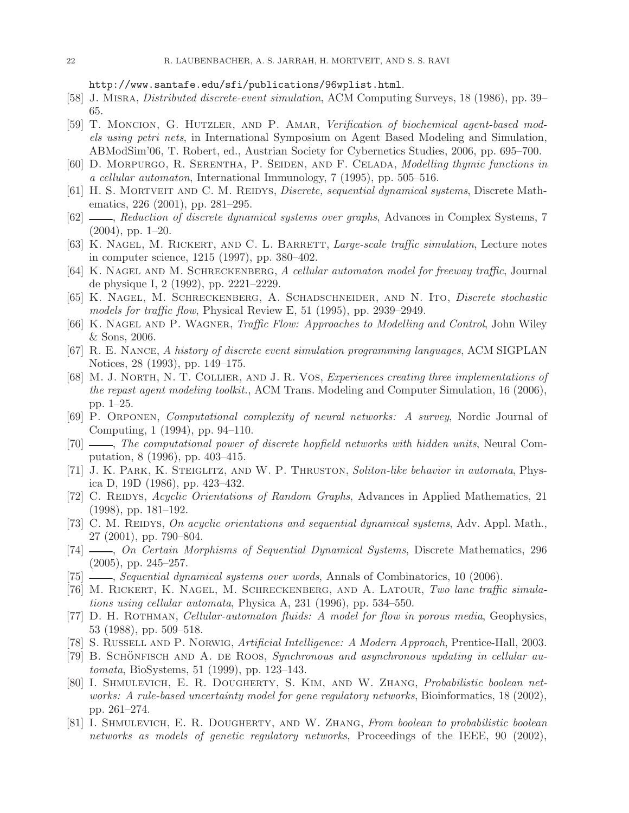http://www.santafe.edu/sfi/publications/96wplist.html.

- [58] J. Misra, Distributed discrete-event simulation, ACM Computing Surveys, 18 (1986), pp. 39– 65.
- [59] T. MONCION, G. HUTZLER, AND P. AMAR, Verification of biochemical agent-based models using petri nets, in International Symposium on Agent Based Modeling and Simulation, ABModSim'06, T. Robert, ed., Austrian Society for Cybernetics Studies, 2006, pp. 695–700.
- [60] D. MORPURGO, R. SERENTHA, P. SEIDEN, AND F. CELADA, *Modelling thymic functions in* a cellular automaton, International Immunology, 7 (1995), pp. 505–516.
- [61] H. S. MORTVEIT AND C. M. REIDYS, *Discrete, sequential dynamical systems*, Discrete Mathematics, 226 (2001), pp. 281–295.
- [62]  $\_\_\_\_\$ , Reduction of discrete dynamical systems over graphs, Advances in Complex Systems, 7 (2004), pp. 1–20.
- [63] K. NAGEL, M. RICKERT, AND C. L. BARRETT, *Large-scale traffic simulation*, Lecture notes in computer science, 1215 (1997), pp. 380–402.
- [64] K. NAGEL AND M. SCHRECKENBERG, A cellular automaton model for freeway traffic, Journal de physique I, 2 (1992), pp. 2221–2229.
- [65] K. Nagel, M. Schreckenberg, A. Schadschneider, and N. Ito, Discrete stochastic models for traffic flow, Physical Review E, 51 (1995), pp. 2939–2949.
- [66] K. NAGEL AND P. WAGNER, Traffic Flow: Approaches to Modelling and Control, John Wiley & Sons, 2006.
- [67] R. E. Nance, A history of discrete event simulation programming languages, ACM SIGPLAN Notices, 28 (1993), pp. 149–175.
- [68] M. J. NORTH, N. T. COLLIER, AND J. R. VOS, Experiences creating three implementations of the repast agent modeling toolkit., ACM Trans. Modeling and Computer Simulation, 16 (2006), pp. 1–25.
- [69] P. Orponen, Computational complexity of neural networks: A survey, Nordic Journal of Computing, 1 (1994), pp. 94–110.
- [70] , The computational power of discrete hopfield networks with hidden units, Neural Computation, 8 (1996), pp. 403–415.
- [71] J. K. Park, K. Steiglitz, and W. P. Thruston, Soliton-like behavior in automata, Physica D, 19D (1986), pp. 423–432.
- [72] C. REIDYS, Acyclic Orientations of Random Graphs, Advances in Applied Mathematics, 21 (1998), pp. 181–192.
- [73] C. M. REIDYS, On acyclic orientations and sequential dynamical systems, Adv. Appl. Math., 27 (2001), pp. 790–804.
- [74]  $\ldots$ , On Certain Morphisms of Sequential Dynamical Systems, Discrete Mathematics, 296  $(2005)$ , pp.  $245-257$ .
- [75] , Sequential dynamical systems over words, Annals of Combinatorics, 10 (2006).
- [76] M. Rickert, K. Nagel, M. Schreckenberg, and A. Latour, Two lane traffic simulations using cellular automata, Physica A, 231 (1996), pp. 534–550.
- [77] D. H. Rothman, Cellular-automaton fluids: A model for flow in porous media, Geophysics, 53 (1988), pp. 509–518.
- [78] S. RUSSELL AND P. NORWIG, *Artificial Intelligence: A Modern Approach*, Prentice-Hall, 2003.
- [79] B. SCHÖNFISCH AND A. DE ROOS, Synchronous and asynchronous updating in cellular automata, BioSystems, 51 (1999), pp. 123–143.
- [80] I. Shmulevich, E. R. Dougherty, S. Kim, and W. Zhang, Probabilistic boolean networks: A rule-based uncertainty model for gene regulatory networks, Bioinformatics, 18 (2002), pp. 261–274.
- [81] I. SHMULEVICH, E. R. DOUGHERTY, AND W. ZHANG, From boolean to probabilistic boolean networks as models of genetic regulatory networks, Proceedings of the IEEE, 90 (2002),